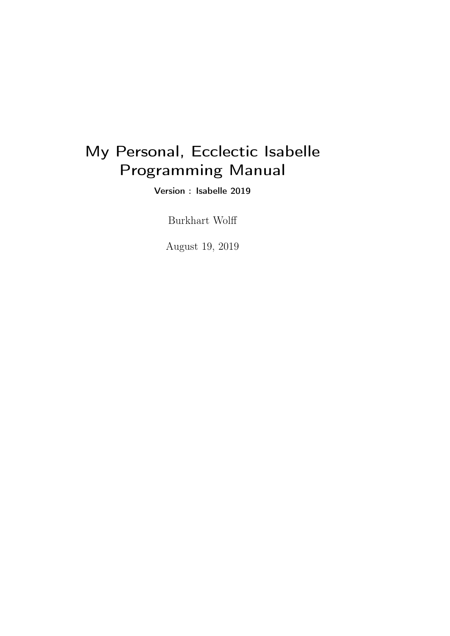# My Personal, Ecclectic Isabelle Programming Manual

Version : Isabelle 2019

Burkhart Wolff

August 19, 2019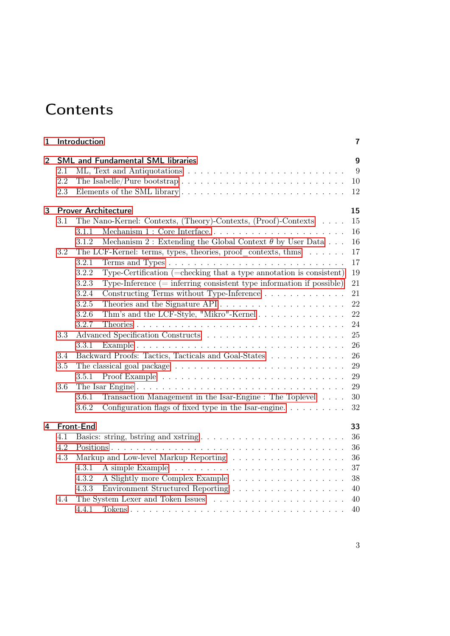# **Contents**

| 1 | Introduction                             |                                                                                      |    |  |  |  |
|---|------------------------------------------|--------------------------------------------------------------------------------------|----|--|--|--|
| 2 | <b>SML and Fundamental SML libraries</b> |                                                                                      |    |  |  |  |
|   | 2.1                                      |                                                                                      | 9  |  |  |  |
|   | 2.2                                      |                                                                                      | 10 |  |  |  |
|   | $2.3\,$                                  |                                                                                      | 12 |  |  |  |
| 3 | <b>Prover Architecture</b><br>15         |                                                                                      |    |  |  |  |
|   | 3.1                                      | The Nano-Kernel: Contexts, (Theory)-Contexts, (Proof)-Contexts                       | 15 |  |  |  |
|   |                                          | Mechanism 1 : Core Interface<br>3.1.1                                                | 16 |  |  |  |
|   |                                          | 3.1.2<br>Mechanism 2: Extending the Global Context $\theta$ by User Data             | 16 |  |  |  |
|   | 3.2                                      | The LCF-Kernel: terms, types, theories, proof contexts, thms $\dots \dots$           | 17 |  |  |  |
|   |                                          | 3.2.1                                                                                | 17 |  |  |  |
|   |                                          | 3.2.2<br>Type-Certification (=checking that a type annotation is consistent)         | 19 |  |  |  |
|   |                                          | 3.2.3<br>Type-Inference $(=$ inferring consistent type information if possible)      | 21 |  |  |  |
|   |                                          | 3.2.4<br>Constructing Terms without Type-Inference                                   | 21 |  |  |  |
|   |                                          | 3.2.5<br>Theories and the Signature API                                              | 22 |  |  |  |
|   |                                          | 3.2.6<br>Thm's and the LCF-Style, "Mikro"-Kernel                                     | 22 |  |  |  |
|   |                                          | 3.2.7                                                                                | 24 |  |  |  |
|   | 3.3                                      |                                                                                      | 25 |  |  |  |
|   |                                          | 3.3.1                                                                                | 26 |  |  |  |
|   | 3.4                                      | Backward Proofs: Tactics, Tacticals and Goal-States<br>26                            |    |  |  |  |
|   | 3.5                                      |                                                                                      | 29 |  |  |  |
|   |                                          | 3.5.1                                                                                | 29 |  |  |  |
|   | 3.6                                      |                                                                                      | 29 |  |  |  |
|   |                                          | Transaction Management in the Isar-Engine : The Toplevel<br>3.6.1                    | 30 |  |  |  |
|   |                                          | 3.6.2<br>Configuration flags of fixed type in the Isar-engine. $\dots \dots \dots$   | 32 |  |  |  |
| 4 | Front-End<br>33                          |                                                                                      |    |  |  |  |
|   | 4.1                                      |                                                                                      | 36 |  |  |  |
|   | 4.2                                      |                                                                                      | 36 |  |  |  |
|   | 4.3                                      |                                                                                      | 36 |  |  |  |
|   |                                          | 4.3.1                                                                                | 37 |  |  |  |
|   |                                          | 4.3.2                                                                                | 38 |  |  |  |
|   |                                          | 4.3.3                                                                                | 40 |  |  |  |
|   | 4.4                                      | The System Lexer and Token Issues $\ldots \ldots \ldots \ldots \ldots \ldots \ldots$ | 40 |  |  |  |
|   |                                          | 4.4.1                                                                                | 40 |  |  |  |
|   |                                          |                                                                                      |    |  |  |  |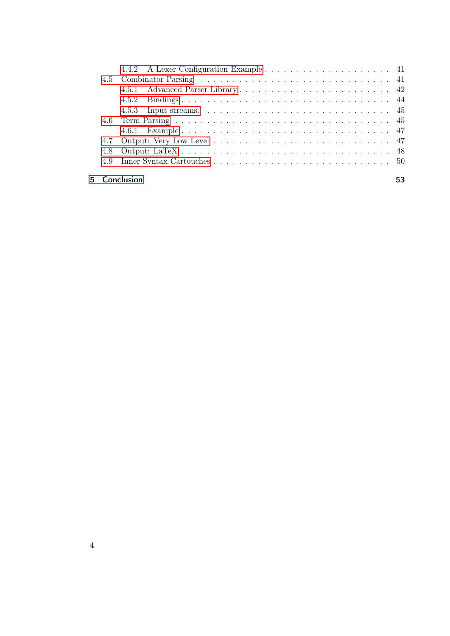|    |            | 4.5.2 |  |  |
|----|------------|-------|--|--|
|    |            |       |  |  |
|    |            |       |  |  |
|    |            |       |  |  |
|    | 4.7        |       |  |  |
|    |            |       |  |  |
|    |            |       |  |  |
|    |            |       |  |  |
| 5. | Conclusion |       |  |  |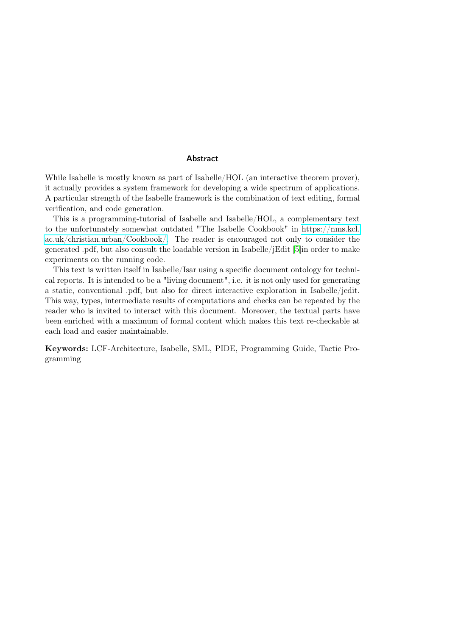#### Abstract

While Isabelle is mostly known as part of Isabelle/HOL (an interactive theorem prover), it actually provides a system framework for developing a wide spectrum of applications. A particular strength of the Isabelle framework is the combination of text editing, formal verification, and code generation.

This is a programming-tutorial of Isabelle and Isabelle/HOL, a complementary text to the unfortunately somewhat outdated "The Isabelle Cookbook" in [https://nms.kcl.](https://nms.kcl.ac.uk/christian.urban/Cookbook/) [ac.uk/christian.urban/Cookbook/.](https://nms.kcl.ac.uk/christian.urban/Cookbook/) The reader is encouraged not only to consider the generated .pdf, but also consult the loadable version in Isabelle/jEdit [\[5\]](#page-54-0)in order to make experiments on the running code.

This text is written itself in Isabelle/Isar using a specific document ontology for technical reports. It is intended to be a "living document", i.e. it is not only used for generating a static, conventional .pdf, but also for direct interactive exploration in Isabelle/jedit. This way, types, intermediate results of computations and checks can be repeated by the reader who is invited to interact with this document. Moreover, the textual parts have been enriched with a maximum of formal content which makes this text re-checkable at each load and easier maintainable.

Keywords: LCF-Architecture, Isabelle, SML, PIDE, Programming Guide, Tactic Programming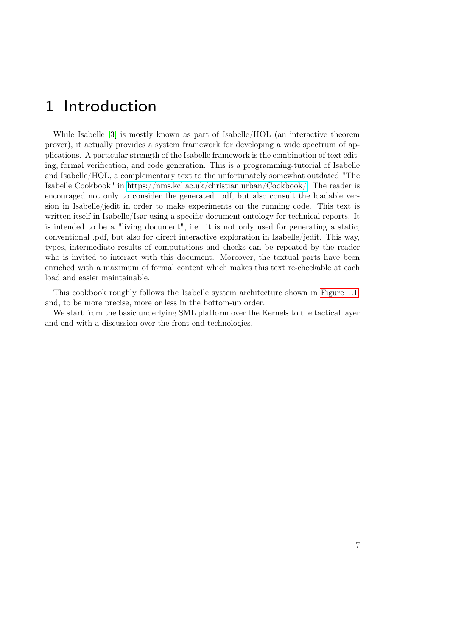# <span id="page-6-0"></span>1 Introduction

While Isabelle [\[3\]](#page-54-1) is mostly known as part of Isabelle/HOL (an interactive theorem prover), it actually provides a system framework for developing a wide spectrum of applications. A particular strength of the Isabelle framework is the combination of text editing, formal verification, and code generation. This is a programming-tutorial of Isabelle and Isabelle/HOL, a complementary text to the unfortunately somewhat outdated "The Isabelle Cookbook" in [https://nms.kcl.ac.uk/christian.urban/Cookbook/.](https://nms.kcl.ac.uk/christian.urban/Cookbook/) The reader is encouraged not only to consider the generated .pdf, but also consult the loadable version in Isabelle/jedit in order to make experiments on the running code. This text is written itself in Isabelle/Isar using a specific document ontology for technical reports. It is intended to be a "living document", i.e. it is not only used for generating a static, conventional .pdf, but also for direct interactive exploration in Isabelle/jedit. This way, types, intermediate results of computations and checks can be repeated by the reader who is invited to interact with this document. Moreover, the textual parts have been enriched with a maximum of formal content which makes this text re-checkable at each load and easier maintainable.

This cookbook roughly follows the Isabelle system architecture shown in [Figure 1.1,](#page-7-0) and, to be more precise, more or less in the bottom-up order.

We start from the basic underlying SML platform over the Kernels to the tactical layer and end with a discussion over the front-end technologies.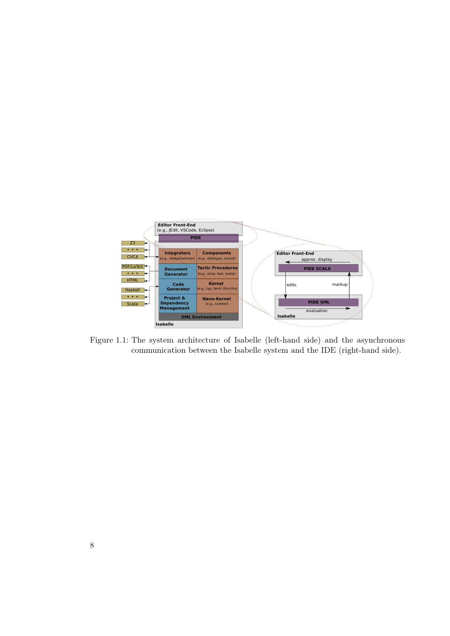<span id="page-7-0"></span>

Figure 1.1: The system architecture of Isabelle (left-hand side) and the asynchronous communication between the Isabelle system and the IDE (right-hand side).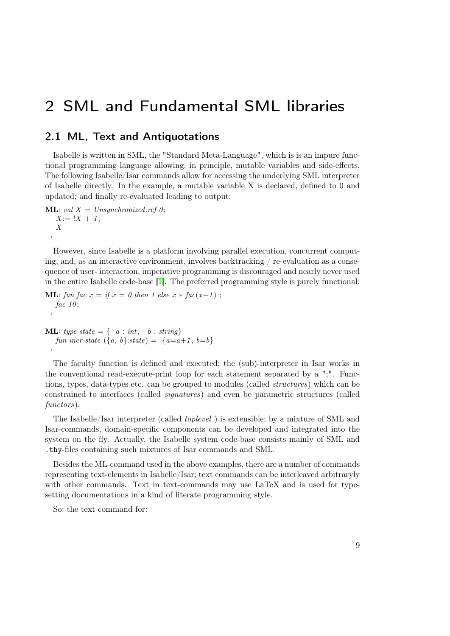# <span id="page-8-0"></span>2 SML and Fundamental SML libraries

# <span id="page-8-1"></span>2.1 ML, Text and Antiquotations

Isabelle is written in SML, the "Standard Meta-Language", which is is an impure functional programming language allowing, in principle, mutable variables and side-effects. The following Isabelle/Isar commands allow for accessing the underlying SML interpreter of Isabelle directly. In the example, a mutable variable X is declared, defined to 0 and updated; and finally re-evaluated leading to output:

 $ML$  val  $X = Unsynchronized.$ ref 0;  $X := !X + 1;$ X  $\rightarrow$ 

However, since Isabelle is a platform involving parallel execution, concurrent computing, and, as an interactive environment, involves backtracking / re-evaluation as a consequence of user- interaction, imperative programming is discouraged and nearly never used in the entire Isabelle code-base [\[1\]](#page-54-2). The preferred programming style is purely functional:

```
ML\Lambda fun fac x = if x = 0 then 1 else x * fac(x-1);
   fac 10;
  \rangle
```

```
ML\langle type state = { a : int, b : string}
   fun incr-state ({a, b}:state) = {a=a+1, b=b}\rightarrow
```
The faculty function is defined and executed; the (sub)-interpreter in Isar works in the conventional read-execute-print loop for each statement separated by a ";". Functions, types, data-types etc. can be grouped to modules (called structures) which can be constrained to interfaces (called signatures) and even be parametric structures (called functors).

The Isabelle/Isar interpreter (called toplevel ) is extensible; by a mixture of SML and Isar-commands, domain-specific components can be developed and integrated into the system on the fly. Actually, the Isabelle system code-base consists mainly of SML and .thy-files containing such mixtures of Isar commands and SML.

Besides the ML-command used in the above examples, there are a number of commands representing text-elements in Isabelle/Isar; text commands can be interleaved arbitraryly with other commands. Text in text-commands may use LaTeX and is used for typesetting documentations in a kind of literate programming style.

So: the text command for: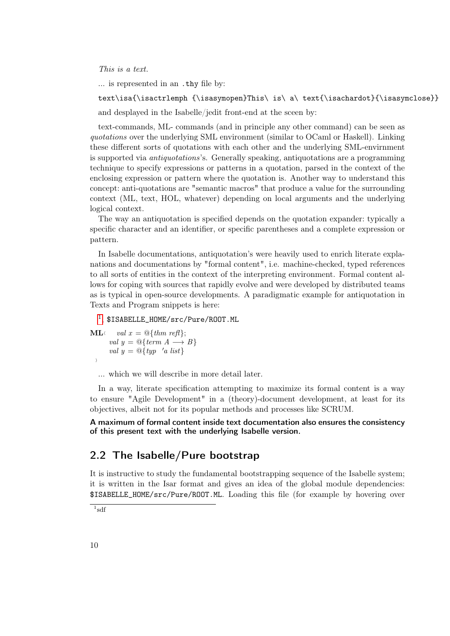This is a text.

... is represented in an .thy file by:

text\isa{\isactrlemph {\isasymopen}This\ is\ a\ text{\isachardot}{\isasymclose}} and desplayed in the Isabelle/jedit front-end at the sceen by:

text-commands, ML- commands (and in principle any other command) can be seen as quotations over the underlying SML environment (similar to OCaml or Haskell). Linking these different sorts of quotations with each other and the underlying SML-envirnment is supported via antiquotations's. Generally speaking, antiquotations are a programming technique to specify expressions or patterns in a quotation, parsed in the context of the enclosing expression or pattern where the quotation is. Another way to understand this concept: anti-quotations are "semantic macros" that produce a value for the surrounding context (ML, text, HOL, whatever) depending on local arguments and the underlying logical context.

The way an antiquotation is specified depends on the quotation expander: typically a specific character and an identifier, or specific parentheses and a complete expression or pattern.

In Isabelle documentations, antiquotation's were heavily used to enrich literate explanations and documentations by "formal content", i.e. machine-checked, typed references to all sorts of entities in the context of the interpreting environment. Formal content allows for coping with sources that rapidly evolve and were developed by distributed teams as is typical in open-source developments. A paradigmatic example for antiquotation in Texts and Program snippets is here:

```
1</sup>, $ISABELLE_HOME/src/Pure/ROOT.ML
ML \langle val x = \mathcal{Q} \{ thm \text{ ref} \};val y = \mathbb{Q}\{term\ A \longrightarrow B\}val y = \mathcal{Q}{typ 'a list}
  i
```
... which we will describe in more detail later.

In a way, literate specification attempting to maximize its formal content is a way to ensure "Agile Development" in a (theory)-document development, at least for its objectives, albeit not for its popular methods and processes like SCRUM.

A maximum of formal content inside text documentation also ensures the consistency of this present text with the underlying Isabelle version.

# <span id="page-9-0"></span>2.2 The Isabelle/Pure bootstrap

It is instructive to study the fundamental bootstrapping sequence of the Isabelle system; it is written in the Isar format and gives an idea of the global module dependencies: \$ISABELLE\_HOME/src/Pure/ROOT.ML. Loading this file (for example by hovering over

<span id="page-9-1"></span>1 sdf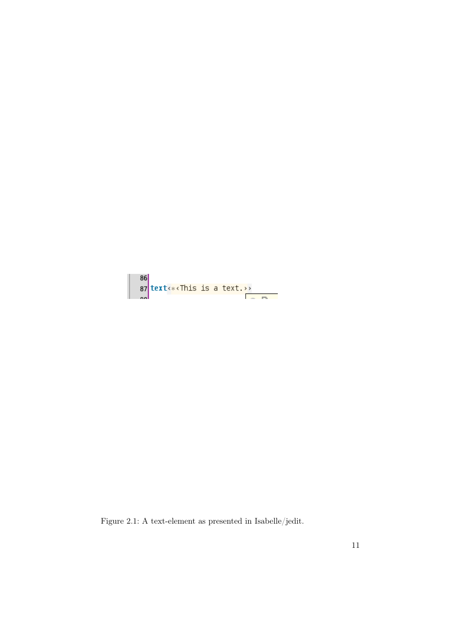

Figure 2.1: A text-element as presented in Isabelle/jedit.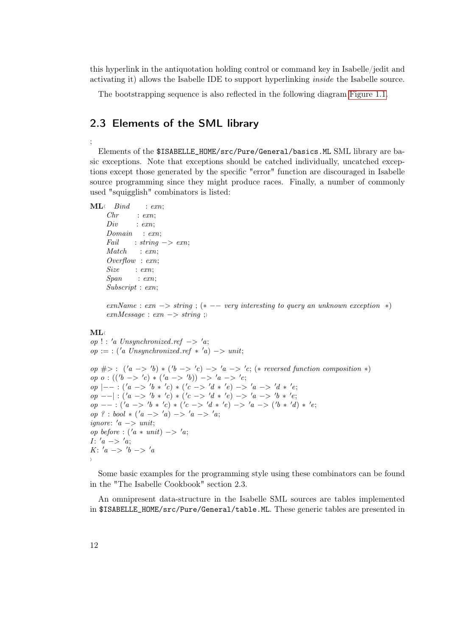this hyperlink in the antiquotation holding control or command key in Isabelle/jedit and activating it) allows the Isabelle IDE to support hyperlinking inside the Isabelle source.

The bootstrapping sequence is also reflected in the following diagram [Figure 1.1.](#page-7-0)

# <span id="page-11-0"></span>2.3 Elements of the SML library

Elements of the \$ISABELLE\_HOME/src/Pure/General/basics.ML SML library are basic exceptions. Note that exceptions should be catched individually, uncatched exceptions except those generated by the specific "error" function are discouraged in Isabelle source programming since they might produce races. Finally, a number of commonly used "squigglish" combinators is listed:

```
ML \langle Bind : exn;
    Chr : exn;
    Div : exn;
    Domain : exn;
    Fall : string \rightarrow exn;Match : exn;
    Overflow : exn;
    Size : exn;
    Span : exn;
    Subscript : exn;
```
 $exnName : exn \rightarrow string ; (* -- very interesting to query an unknown exception *$  $exnMessage : exn \longrightarrow string ;\n$ 

#### $MT_A$

;

op ! : 'a Unsynchronized.ref  $\rightarrow$  'a;  $op :=$ : ('a Unsynchronized.ref \* 'a) -> unit;

op  $\#$  > :  $(a \rightarrow 'b) * ('b \rightarrow 'c) \rightarrow 'a \rightarrow 'c$ ; (\* reversed function composition \*) op  $o: (('b \to 'c)*(a \to 'b)) \to 'a \to 'c;$  $op \models - : ('a \rightarrow 'b * 'c) * ('c \rightarrow 'd * 'e) \rightarrow 'a \rightarrow 'd * 'e;$  $op \ -|\ \colon (a \ \to \ 'b \ * \ 'c) \ * \ (c \ \to \ 'd \ * \ 'e) \ \to \ 'a \ \to \ 'b \ * \ 'e;$  $op \,---: (a \,-> 'b * 'c) * ('c \,-> 'd * 'e) \,-> 'a \,-> ('b * 'd) * 'e;$ op ? : bool \* ('a -> 'a) -> 'a -> 'a; ignore: ' $a \rightarrow unit;$ op before :  $(a * unit) \rightarrow 'a;$  $I: 'a \implies 'a;$ K: 'a -> 'b -> 'a i

Some basic examples for the programming style using these combinators can be found in the "The Isabelle Cookbook" section 2.3.

An omnipresent data-structure in the Isabelle SML sources are tables implemented in \$ISABELLE\_HOME/src/Pure/General/table.ML. These generic tables are presented in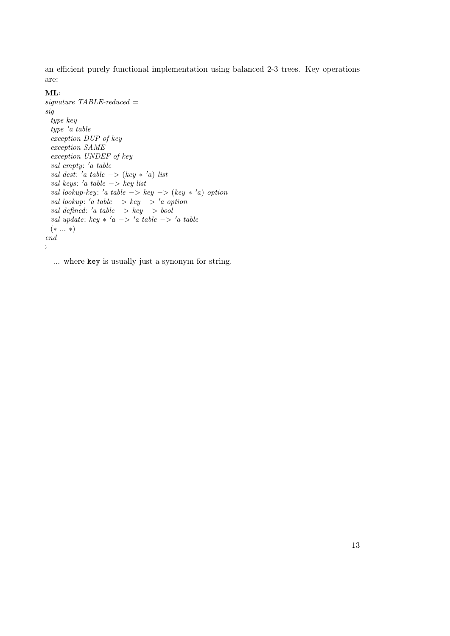an efficient purely functional implementation using balanced 2-3 trees. Key operations are:

### $ML \langle$

```
signature TABLE-reducedsig
 type key
 type 'a table
 exception DUP of key
 exception SAME
 exception UNDEF of key
  val empty: 'a table
  val dest: 'a table \rightarrow (key * 'a) list
  val keys: 'a table -> key list
  val lookup-key: 'a table \Rightarrow key \rightarrow (key * 'a) option
  val lookup: 'a table \rightarrow key \rightarrow 'a option
  val defined: 'a table -> key -> bool
  val update: key * 'a \rightarrow 'a table \rightarrow 'a table
 (∗ ... ∗)
end
i
```
... where key is usually just a synonym for string.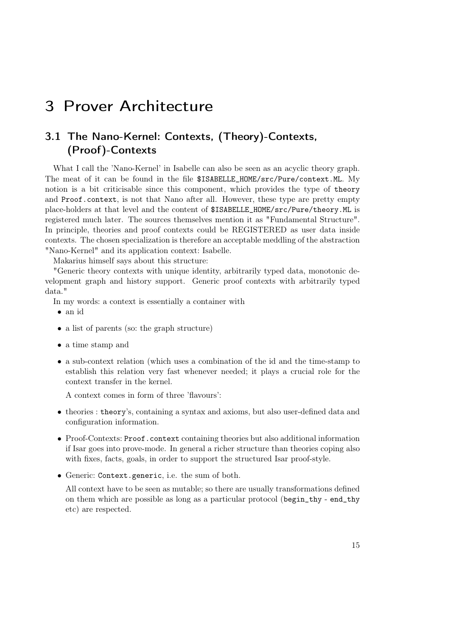# <span id="page-14-0"></span>3 Prover Architecture

# <span id="page-14-1"></span>3.1 The Nano-Kernel: Contexts, (Theory)-Contexts, (Proof)-Contexts

What I call the 'Nano-Kernel' in Isabelle can also be seen as an acyclic theory graph. The meat of it can be found in the file \$ISABELLE\_HOME/src/Pure/context.ML. My notion is a bit criticisable since this component, which provides the type of theory and Proof.context, is not that Nano after all. However, these type are pretty empty place-holders at that level and the content of \$ISABELLE\_HOME/src/Pure/theory.ML is registered much later. The sources themselves mention it as "Fundamental Structure". In principle, theories and proof contexts could be REGISTERED as user data inside contexts. The chosen specialization is therefore an acceptable meddling of the abstraction "Nano-Kernel" and its application context: Isabelle.

Makarius himself says about this structure:

"Generic theory contexts with unique identity, arbitrarily typed data, monotonic development graph and history support. Generic proof contexts with arbitrarily typed data."

In my words: a context is essentially a container with

- an id
- a list of parents (so: the graph structure)
- a time stamp and
- a sub-context relation (which uses a combination of the id and the time-stamp to establish this relation very fast whenever needed; it plays a crucial role for the context transfer in the kernel.

A context comes in form of three 'flavours':

- theories : theory's, containing a syntax and axioms, but also user-defined data and configuration information.
- Proof-Contexts: Proof.context containing theories but also additional information if Isar goes into prove-mode. In general a richer structure than theories coping also with fixes, facts, goals, in order to support the structured Isar proof-style.
- Generic: Context.generic, i.e. the sum of both.

All context have to be seen as mutable; so there are usually transformations defined on them which are possible as long as a particular protocol (begin\_thy - end\_thy etc) are respected.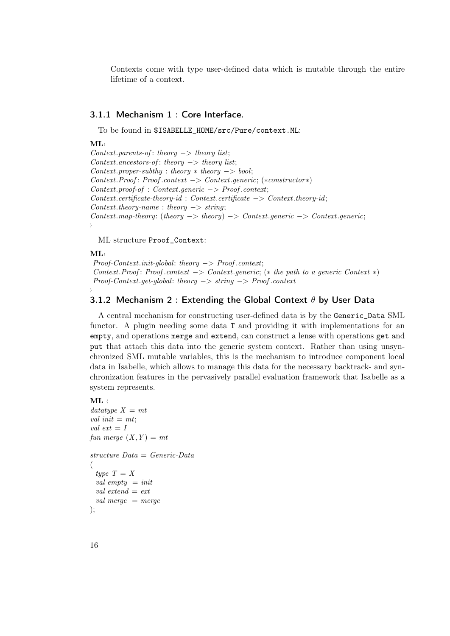Contexts come with type user-defined data which is mutable through the entire lifetime of a context.

#### <span id="page-15-0"></span>3.1.1 Mechanism 1 : Core Interface.

To be found in \$ISABELLE\_HOME/src/Pure/context.ML:

#### $ML$

Context.parents-of: theory  $\rightarrow$  theory list; Context.ancestors-of: theory  $\rightarrow$  theory list;  $Context.propertiesubthy : theory * theory -> bool;$ Context.Proof : Proof .context −> Context.generic; (∗constructor∗) Context.proof-of : Context.generic −> Proof .context;  $Context. certificate-theory-id: Context.certificate -> Context.theory-id;$  $Context.theory-name : theory \rightarrow string;$  $Context.\nmap-theory: (theory -> theory) -> Context.\ngeneric -> Context.\ngeneric ;$ i

ML structure Proof\_Context:

#### $ML \langle$

<span id="page-15-1"></span>i

Proof-Context.init-global: theory −> Proof .context; Context.Proof: Proof.context  $\rightarrow$  Context.generic; (\* the path to a generic Context \*) Proof-Context.get-global: theory −> string −> Proof .context

### 3.1.2 Mechanism 2 : Extending the Global Context  $\theta$  by User Data

A central mechanism for constructing user-defined data is by the Generic\_Data SML functor. A plugin needing some data T and providing it with implementations for an empty, and operations merge and extend, can construct a lense with operations get and put that attach this data into the generic system context. Rather than using unsynchronized SML mutable variables, this is the mechanism to introduce component local data in Isabelle, which allows to manage this data for the necessary backtrack- and synchronization features in the pervasively parallel evaluation framework that Isabelle as a system represents.

#### $ML \leftarrow$

```
datatype\ X=mtval init = mt;
val ext = Ifun merge (X, Y) = mtstructure Data = Generic-Data
(
 type T = Xval empty = initval extend = ext
 val merge = merge
);
```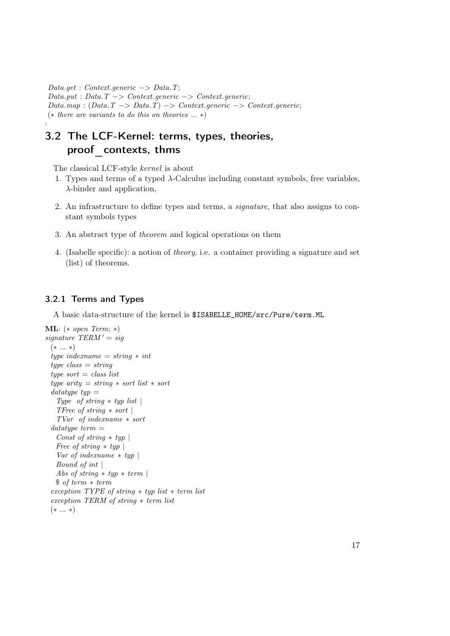$Data.get: Context \_generic \ \rightarrow Data \_T;$  $Data.put : Data.T \rightarrow Context \cdot generic \rightarrow Context \cdot generic;$  $Datamap: (Data.T \rightarrow Data.T) \rightarrow Context \cdot generic \rightarrow Context \cdot generic;$ (∗ there are variants to do this on theories ... ∗)

# 3.2 The LCF-Kernel: terms, types, theories, proof\_contexts, thms

The classical LCF-style kernel is about

- 1. Types and terms of a typed  $\lambda$ -Calculus including constant symbols, free variables,  $\lambda$ -binder and application,
- 2. An infrastructure to define types and terms, a signature, that also assigns to constant symbols types
- 3. An abstract type of theorem and logical operations on them
- 4. (Isabelle specific): a notion of theory, i.e. a container providing a signature and set (list) of theorems.

### <span id="page-16-1"></span>3.2.1 Terms and Types

<span id="page-16-0"></span>i

A basic data-structure of the kernel is \$ISABELLE\_HOME/src/Pure/term.ML

```
ML( (* open Term; *)
signature TERM' = sig(∗ ... ∗)
 type indexname = string * int
 type \; class = stringtype sort = class list
 type arity = string * sort list * sort
 datatype\;typ =Type of string * typ list |
   TFree of string * sort |
   TVar of indexname ∗ sort
 datatype~term =Const of string * typ |
   Free of string * typ |Var of indexname * typ |
   Bound of int |
   Abs of string * typ * term |
   $ of term ∗ term
 exception TYPE of string ∗ typ list ∗ term list
 exception TERM of string ∗ term list
 (∗ ... ∗)
```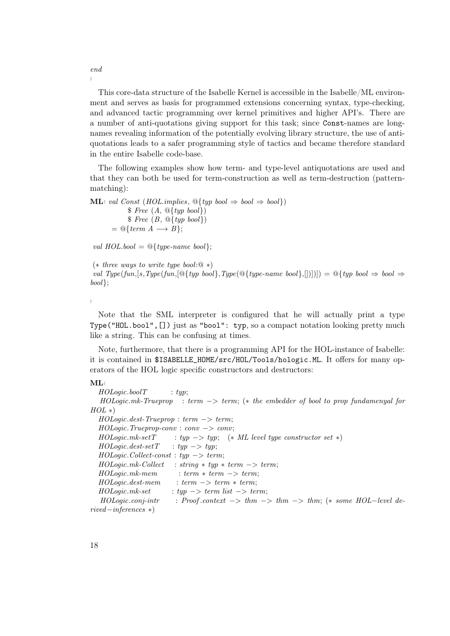This core-data structure of the Isabelle Kernel is accessible in the Isabelle/ML environment and serves as basis for programmed extensions concerning syntax, type-checking, and advanced tactic programming over kernel primitives and higher API's. There are a number of anti-quotations giving support for this task; since Const-names are longnames revealing information of the potentially evolving library structure, the use of antiquotations leads to a safer programming style of tactics and became therefore standard in the entire Isabelle code-base.

The following examples show how term- and type-level antiquotations are used and that they can both be used for term-construction as well as term-destruction (patternmatching):

```
ML \in val Const (HOL.implies, \mathcal{Q}{\{typ \; bool \Rightarrow \; bool \Rightarrow \; bool\}})\ Free (A, \mathcal{Q}_{typ} \; \mathit{bool})$ \, Free \, (B, \, \mathcal{O} { \{ typ \, bool \} } )= \mathcal{Q} \{ \text{term } A \longrightarrow B \};
```
val  $HOL.bool = \mathcal{Q}$ { type-name bool};

(∗ three ways to write type bool:@ ∗) val Type(fun,[s,Type(fun,[@{typ bool},Type(@{type-name bool},[])]]) =  $\mathbb{Q}$ {typ bool  $\Rightarrow$  bool  $\Rightarrow$ bool};

 $\left\langle \right\rangle$ 

Note that the SML interpreter is configured that he will actually print a type Type("HOL.bool",[]) just as "bool": typ, so a compact notation looking pretty much like a string. This can be confusing at times.

Note, furthermore, that there is a programming API for the HOL-instance of Isabelle: it is contained in \$ISABELLE\_HOME/src/HOL/Tools/hologic.ML. It offers for many operators of the HOL logic specific constructors and destructors:

#### $ML$

 $HOLogic.boolT$  : typ; HOLogic.mk-Trueprop : term −> term; (∗ the embedder of bool to prop fundamenyal for  $HOL *$  $HOLoqic.dest-Trueprop : term \rightarrow term;$ HOLogic.Trueprop-conv : conv −> conv;  $HOLogic.mk-setT$  : typ  $-> typ;$  (\* ML level type constructor set \*)  $HOLoqic.dest-setT$  : typ  $\rightarrow$  typ;  $HOLoqic. Collect-const: typ \rightarrow term;$  $HOLogic.mk-Collect : string * typ * term -> term;$  $HOLoqic.mk-mem$  : term  $*$  term  $->$  term;  $HOLogic.dest-mem$  : term  $->$  term  $*$  term;  $HOLogic.mk-set$  : typ  $\rightarrow$  term list  $\rightarrow$  term;  $HODaoic.conj\text{-}intr$  : Proof.context  $->$  thm  $->$  thm  $->$  thm; (\* some HOL-level derived−inferences ∗)

end  $\lambda$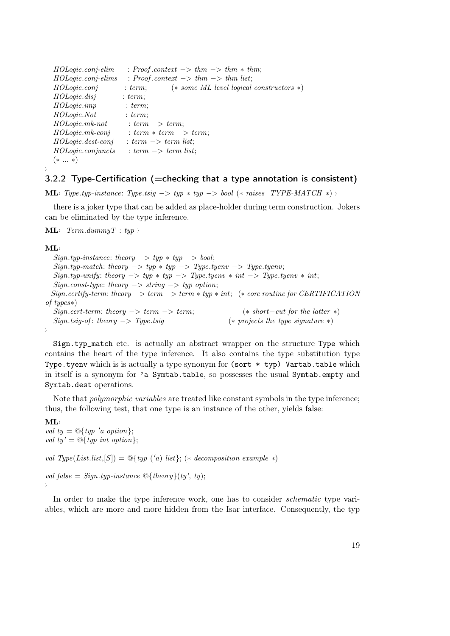| $HOLogic.comj-elim$  | : Proof.context $\Rightarrow thm \Rightarrow thm * thm$ ; |
|----------------------|-----------------------------------------------------------|
| HOLogic.conj-elims   | : Proof.context $\rightarrow thm \rightarrow thm$ list;   |
| HOLogic.comj         | $(* some ML level logical constructors *)$<br>: term:     |
| HOLogic. disj        | : term:                                                   |
| HOLogic.imp          | : term;                                                   |
| HOLogic.Not          | : term:                                                   |
| $HOLogic.mk-not$     | $: term \rightarrow term$                                 |
| $HOLogic.mk-conj$    | $: term * term \rightarrow term;$                         |
| $HOLogic. dest-conj$ | $: term \rightarrow term$ list;                           |
| HOLogic. conjuncts   | $: term \rightarrow term$ list;                           |
| $(* \dots *)$        |                                                           |

## <span id="page-18-0"></span>3.2.2 Type-Certification (=checking that a type annotation is consistent)

ML $\vee$  Type.typ-instance: Type.tsig −> typ  $*$  typ −> bool ( $*$  raises TYPE-MATCH  $*$ )

there is a joker type that can be added as place-holder during term construction. Jokers can be eliminated by the type inference.

 $ML \leftarrow Term.dimmyT : typ \rightarrow$ 

#### $ML$

 $\rangle$ 

 $Sign.typ-instance:$  theory  $-> typ * typ -> bool;$  $Sign.typ-match: theory \rightarrow typ * typ \rightarrow Type.tyenv \rightarrow Type.tyenv;$  $Sign.typ-unify: theory \rightarrow typ * typ \rightarrow Type.tyenv * int \rightarrow Type.tyenv * int;$  $Signconst-type: theory \rightarrow string \rightarrow typ~option;$ Sign.certify-term: theory −> term −> term ∗ typ ∗ int; (∗ core routine for CERTIFICATION of types∗)  $Sign.cert-term: theory \longrightarrow term \longrightarrow term;$  (\* short-cut for the latter \*)  $Sign.tsig-of: theory \longrightarrow Type.tsig$  (\* projects the type signature \*)  $\langle$ 

Sign.typ\_match etc. is actually an abstract wrapper on the structure Type which contains the heart of the type inference. It also contains the type substitution type Type.tyenv which is is actually a type synonym for (sort \* typ) Vartab.table which in itself is a synonym for 'a Symtab.table, so possesses the usual Symtab.empty and Symtab.dest operations.

Note that polymorphic variables are treated like constant symbols in the type inference; thus, the following test, that one type is an instance of the other, yields false:

 $ML$ val ty =  $\mathcal{Q}\left\{ \text{typ 'a option} \right\};$ val ty' =  $\mathcal{Q}$ { typ int option};

val Type(List.list,  $[S]$ ) =  $\mathcal{Q}$ {typ ('a) list}; (\* decomposition example \*)

val false = Sign.typ-instance  $\mathcal{Q}\{\mathit{theory}\}(ty',\,ty);$  $\lambda$ 

In order to make the type inference work, one has to consider *schematic* type variables, which are more and more hidden from the Isar interface. Consequently, the typ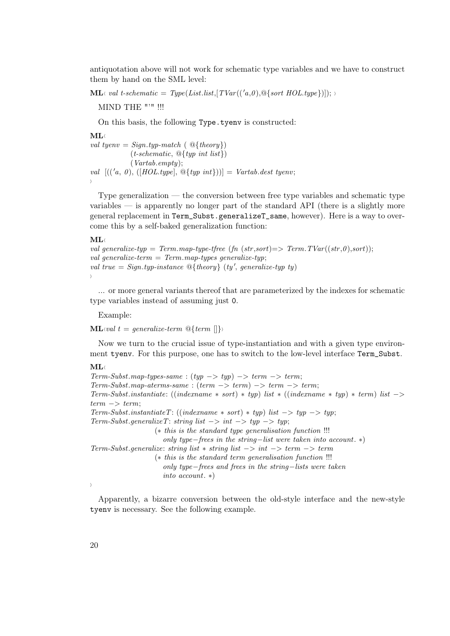antiquotation above will not work for schematic type variables and we have to construct them by hand on the SML level:

 $ML \cdot val t-schematic = Type(List-list, [TVar((a,0), \mathcal{Q}\{sort HOL.type\})]);$ 

MIND THE "'" !!!

On this basis, the following Type.tyenv is constructed:

 $ML$ 

```
val tyenv = Sign.typ-match (\mathcal{Q}{theory})
               (t-schematic, \mathcal{Q}{typ int list})
               (Vartab.empty);
val [((a, 0), ([HOL.type], \mathbb{Q} \{ typ\ int \}))] = Vartabdest\ tyenv;\rangle
```
Type generalization — the conversion between free type variables and schematic type variables — is apparently no longer part of the standard API (there is a slightly more general replacement in Term\_Subst.generalizeT\_same, however). Here is a way to overcome this by a self-baked generalization function:

#### $ML \langle$

```
val generalize-typ = Term.map-type-tfree (fn (str, sort)) => Term.TVar((str, 0), sort);
val generalize-term = Term \,map\text{-} types generalize-typ;
val true = Sign.typ-instance \mathcal{Q}\{\mathit{theory}\}\ (ty', generalize-typ ty)
\left\langle \right\rangle
```
... or more general variants thereof that are parameterized by the indexes for schematic type variables instead of assuming just 0.

Example:

 $ML\vee val$  t = generalize-term  $\mathbb{Q}\lbrace term \rvert \rvert \rbrace$ 

Now we turn to the crucial issue of type-instantiation and with a given type environment tyenv. For this purpose, one has to switch to the low-level interface Term\_Subst.

#### $MT_A$

 $Term\text{-}Subst\text{-}map\text{-}types\text{-}same : (typ \rightarrow typ) \rightarrow term \rightarrow term;$  $Term\text{-}Subst\text{-}map\text{-}aterm\text{-}same : (term \rightarrow term) \rightarrow term \rightarrow term;$ Term-Subst.instantiate: ((indexname \* sort) \* typ) list \* ((indexname \* typ) \* term) list  $->$  $term \rightarrow term$ ; Term-Subst.instantiateT:  $((indexname * sort) * typ)$  list  $-> typ - > typ;$ Term-Subst.generalizeT: string list  $->$  int  $->$  typ  $->$  typ; (∗ this is the standard type generalisation function !!! only type−frees in the string−list were taken into account. ∗) Term-Subst.generalize: string list  $*$  string list  $->$  int  $->$  term  $->$  term (∗ this is the standard term generalisation function !!! only type−frees and frees in the string−lists were taken into account. ∗)  $\lambda$ 

Apparently, a bizarre conversion between the old-style interface and the new-style tyenv is necessary. See the following example.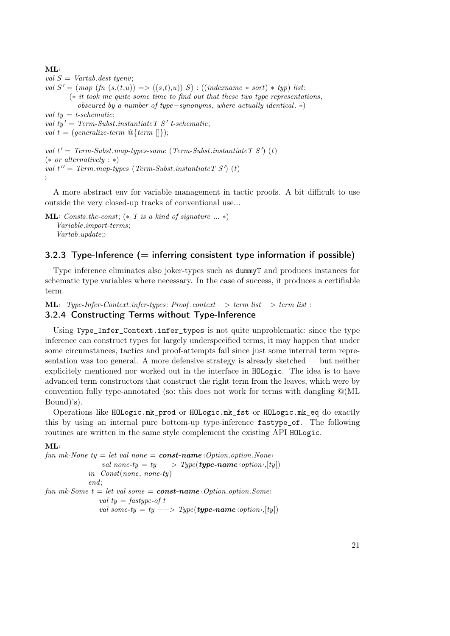```
ML \langleval S = Vartab. dest \; tyenv;val S' = (map (fn (s,(t,u))) \leq (s,t),u)) S) : ((indexname * sort) * typ) list;
       (∗ it took me quite some time to find out that these two type representations ,
          obscured by a number of type−synonyms, where actually identical. ∗)
val ty = t-schematic;
val ty' = Term-Subst.instantiate TS' t-schematic;
val t = (generalize-term \mathcal{Q}{term} []);
val t' = Term-Substmap-typees-sample (Term-Subst.instantiate TS') (t)
(* or alternatively : *)val t'' = Term.\mbox{map-type}s (Term-Subst.instantiate T S') (t)
```
 $\left\langle \right\rangle$ 

A more abstract env for variable management in tactic proofs. A bit difficult to use outside the very closed-up tracks of conventional use...

```
ML \langle Consts.the-const; (*\,T\,is\,a\,kind\,of\,signature\,\dots\,*)Variable.import-terms;
    Vartab.update;
```
# <span id="page-20-0"></span>3.2.3 Type-Inference  $(=$  inferring consistent type information if possible)

Type inference eliminates also joker-types such as dummyT and produces instances for schematic type variables where necessary. In the case of success, it produces a certifiable term.

```
ML\land Type-Infer-Context.infer-types: Proof.context –> term list −> term list \land
```
## <span id="page-20-1"></span>3.2.4 Constructing Terms without Type-Inference

Using Type\_Infer\_Context.infer\_types is not quite unproblematic: since the type inference can construct types for largely underspecified terms, it may happen that under some circumstances, tactics and proof-attempts fail since just some internal term representation was too general. A more defensive strategy is already sketched — but neither explicitely mentioned nor worked out in the interface in HOLogic. The idea is to have advanced term constructors that construct the right term from the leaves, which were by convention fully type-annotated (so: this does not work for terms with dangling  $\mathcal{Q}(ML)$ Bound)'s).

Operations like HOLogic.mk\_prod or HOLogic.mk\_fst or HOLogic.mk\_eq do exactly this by using an internal pure bottom-up type-inference fastype\_of. The following routines are written in the same style complement the existing API HOLogic.

### $\mathbf{M}$ L

fun mk-None  $ty = let$  val none  $=$  const-name (Option.option.None) val none-ty = ty  $\rightarrow$  Type(**type-name** \coption\,[ty]) in Const(none, none-ty) end; fun mk-Some  $t = let$  val some  $=$  **const-name** (Option.option.Some) val  $t\mathbf{v} =$  fastype-of t val some-ty = ty --> Type(type-name \coption \,[ty])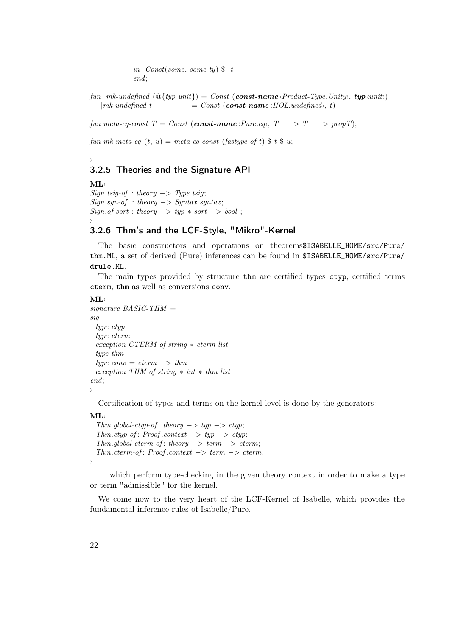in Const(some, some-ty)  $\text{\$ } t$ end;

fun mk-undefined  $(\mathbb{Q}\{typ\ unit\}) = Const$  (const-name *Product-Type.Unity*), typ *{unit}*  $|mk\text{-}undefined\ t = Const (const\text{-}name \langle HOL.undefined \rangle, t)$ 

fun meta-eq-const  $T = Const$  (const-name  $\langle Pure, eq \rangle$ ,  $T \longrightarrow T \longrightarrow propT$ );

fun mk-meta-eq  $(t, u) = meta\text{-}eq\text{-}const$  (fastype-of t)  $\text{\$ } t \text{\$ } u$ ;

# <span id="page-21-0"></span>3.2.5 Theories and the Signature API

 $ML$  $Sign.tsig-of : theory \longrightarrow Type.tsig;$  $Sign.springframework : theory \rightarrow Syntax.springframework;$  $Sign.of-sort: theory \rightarrow typ * sort \rightarrow bool;$  $\rangle$ 

# <span id="page-21-1"></span>3.2.6 Thm's and the LCF-Style, "Mikro"-Kernel

The basic constructors and operations on theorems\$ISABELLE\_HOME/src/Pure/ thm.ML, a set of derived (Pure) inferences can be found in \$ISABELLE\_HOME/src/Pure/ drule.ML.

The main types provided by structure thm are certified types ctyp, certified terms cterm, thm as well as conversions conv.

### $ML$

 $\rangle$ 

```
signature\ BASIC\text{-}THM =sig
 type ctyp
 type cterm
 exception CTERM of string ∗ cterm list
 type thm
 type conv = cterm \rightarrow thmexception THM of string ∗ int ∗ thm list
end;
i
```
Certification of types and terms on the kernel-level is done by the generators:

#### $ML \langle$

i

```
Thm.global-ctyp-of: theory -> typ-> ctyp;Thm.ctyp-of: Proof.context -> typ -> ctyp;
Thm.global-cterm-of: theory \rightarrow term \rightarrow cterm;Thm. cterm-of: Proof. context \rightarrow term \rightarrow cterm;
```
... which perform type-checking in the given theory context in order to make a type or term "admissible" for the kernel.

We come now to the very heart of the LCF-Kernel of Isabelle, which provides the fundamental inference rules of Isabelle/Pure.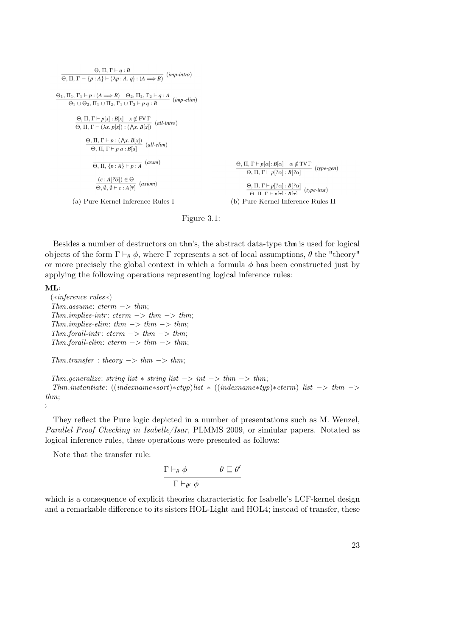$$
\theta, \Pi, \Gamma \vdash q : B
$$
\n
$$
\theta, \Pi, \Gamma \vdash p : (A \Rightarrow B) \quad \theta_2, \Pi_2, \Gamma_2 \vdash q : A
$$
\n
$$
\theta_1, \Pi_1, \Gamma_1 \vdash p : (A \Rightarrow B) \quad \theta_2, \Pi_2, \Gamma_2 \vdash q : A
$$
\n
$$
\theta_1 \cup \theta_2, \Pi_1 \cup \Pi_2, \Gamma_1 \cup \Gamma_2 \vdash p q : B
$$
\n
$$
\theta, \Pi, \Gamma \vdash p[x] : B[x] \quad x \notin \text{FVT}
$$
\n
$$
\theta, \Pi, \Gamma \vdash (\lambda x. p[x]) : ((\lambda x. B[x]) \quad (all\text{-intro})
$$
\n
$$
\theta, \Pi, \Gamma \vdash p : (\Lambda x. B[x]) \quad (all\text{-elim})
$$
\n
$$
\theta, \Pi, \Gamma \vdash p a : B[a] \quad (all\text{-elim})
$$
\n
$$
\theta, \Pi, \Gamma \vdash p a : B[a] \quad (all\text{-elim})
$$
\n
$$
\theta, \Pi, \Gamma \vdash p[a] : B[\alpha] \quad \alpha \notin \text{TV}\Gamma \quad (type\text{-gen})
$$
\n
$$
\theta, \Pi, \Gamma \vdash p[2\alpha] : B[2\alpha] \quad (type\text{-gen})
$$
\n
$$
\theta, \Pi, \Gamma \vdash p[2\alpha] : B[2\alpha] \quad (type\text{-inst})
$$
\n(a) Pure Kernel Inference Rules I\n(b) Pure Kernel Inference Rules II

Figure 3.1:

Besides a number of destructors on thm's, the abstract data-type thm is used for logical objects of the form  $\Gamma \vdash_{\theta} \phi$ , where  $\Gamma$  represents a set of local assumptions,  $\theta$  the "theory" or more precisely the global context in which a formula  $\phi$  has been constructed just by applying the following operations representing logical inference rules:

#### $ML$

 $\rangle$ 

(∗inference rules∗) Thm.assume:  $\text{cterm} \rightarrow \text{thm}$ ; Thm.implies-intr: cterm  $->$  thm  $->$  thm; Thm.implies-elim: thm  $->$  thm  $->$  thm; Thm.forall-intr:  $\text{cterm} \rightarrow \text{thm} \rightarrow \text{thm}$ ; Thm.forall-elim:  $\text{cterm} \rightarrow \text{thm} \rightarrow \text{thm}$ ;

 $Thm.transpose: theory \rightarrow thm \rightarrow thm;$ 

```
Thm.generalize: string list \ast string list \rightarrow int \rightarrow thm \rightarrow thm;
  Thm.nistantiate: ((index names sort)*ctyp) list * ((index namestyp)*cterm) list -> thm ->thm;
```
They reflect the Pure logic depicted in a number of presentations such as M. Wenzel, Parallel Proof Checking in Isabelle/Isar, PLMMS 2009, or simiular papers. Notated as logical inference rules, these operations were presented as follows:

Note that the transfer rule:

$$
\frac{\Gamma \vdash_{\theta} \phi \qquad \qquad \theta \sqsubseteq \theta'}{\Gamma \vdash_{\theta'} \phi}
$$

which is a consequence of explicit theories characteristic for Isabelle's LCF-kernel design and a remarkable difference to its sisters HOL-Light and HOL4; instead of transfer, these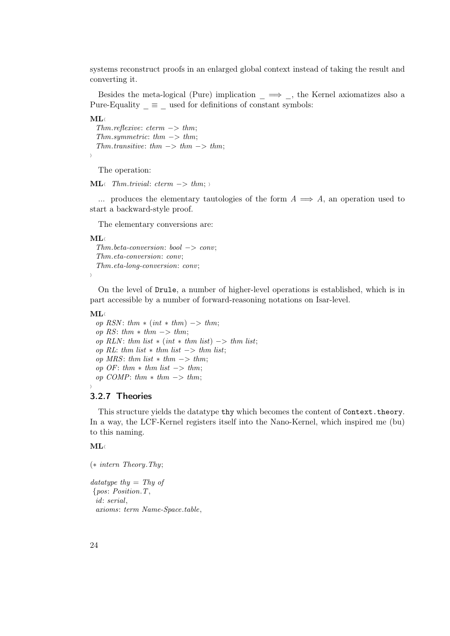systems reconstruct proofs in an enlarged global context instead of taking the result and converting it.

Besides the meta-logical (Pure) implication  $\implies$ , the Kernel axiomatizes also a Pure-Equality  $\equiv$   $\equiv$  used for definitions of constant symbols:

 $ML \langle$ 

i

```
Thm. reflexive: \textit{term } \rightarrow \textit{thm};Thm.symmetric: thm \rightarrow thm;Thm.transitive: thm -> thm -> thm;
```
The operation:

**ML** $\langle$  Thm.trivial: cterm  $→$  thm;

... produces the elementary tautologies of the form  $A \implies A$ , an operation used to start a backward-style proof.

The elementary conversions are:

 $\mathbf{M}$ L

```
Thm. beta-conversion: bool \rightarrow conv;Thm.eta-conversion: conv;
Thm.eta-long-conversion: conv;
```
 $\left\langle \right\rangle$ 

On the level of Drule, a number of higher-level operations is established, which is in part accessible by a number of forward-reasoning notations on Isar-level.

 $ML \langle$ 

op RSN: thm  $\ast$  (int  $\ast$  thm)  $\rightarrow$  thm; op RS: thm  $*$  thm  $->$  thm; op RLN: thm list  $\ast$  (int  $\ast$  thm list)  $\rightarrow$  thm list; op RL: thm list  $*$  thm list  $\rightarrow$  thm list; op MRS: thm list  $*$  thm  $->$  thm; op OF: thm  $*$  thm list  $->$  thm; op COMP: thm  $*$  thm  $->$  thm;

### 3.2.7 Theories

This structure yields the datatype thy which becomes the content of Context.theory. In a way, the LCF-Kernel registers itself into the Nano-Kernel, which inspired me (bu) to this naming.

#### $ML$

<span id="page-23-0"></span>i

(∗ intern Theory.Thy;

datatype thy  $=$  Thy of {pos: Position.T, id: serial, axioms: term Name-Space.table,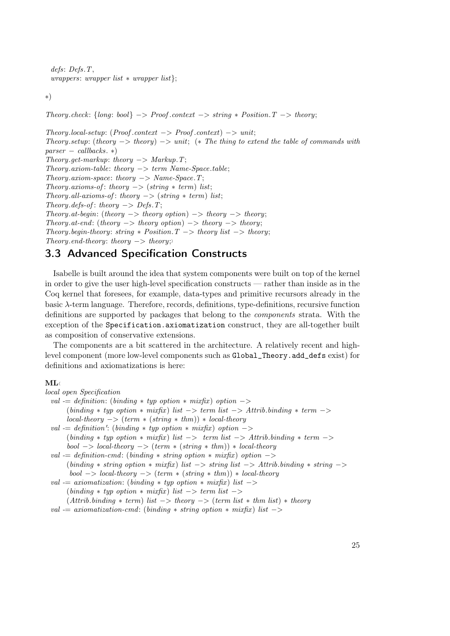defs: Defs.T,  $wrappers: wrapper list * wrapper list;$ 

∗)

Theory.check:  $\{long: bool\} \rightarrow Proof. context \rightarrow string * Position. T \rightarrow theory;$ 

 $Theory. local-setup: (Proof. context \rightarrow Proof. context) \rightarrow unit;$ Theory.setup: (theory  $\rightarrow$  theory)  $\rightarrow$  unit; (\* The thing to extend the table of commands with  $parser - callbacks.$ \*) Theory.get-markup: theory  $->$  Markup.T;  $Theory. axiom-table: theory \rightarrow term \ Name-Space.$  $Theory. axiom-space: theory \rightarrow Name-Space.$ Theory.axioms-of: theory  $\rightarrow$  (string  $*$  term) list; Theory.all-axioms-of: theory  $\rightarrow$  (string  $*$  term) list; Theory.defs-of: theory  $->$  Defs.T; Theory.at-begin: (theory  $\Rightarrow$  theory option)  $\Rightarrow$  theory  $\Rightarrow$  theory; Theory.at-end: (theory  $\rightarrow$  theory option)  $\rightarrow$  theory  $\rightarrow$  theory; Theory.begin-theory: string  $*$  Position. T  $\rightarrow$  theory list  $\rightarrow$  theory; Theory.end-theory: theory  $\rightarrow$  theory;

# <span id="page-24-0"></span>3.3 Advanced Specification Constructs

Isabelle is built around the idea that system components were built on top of the kernel in order to give the user high-level specification constructs — rather than inside as in the Coq kernel that foresees, for example, data-types and primitive recursors already in the basic λ-term language. Therefore, records, definitions, type-definitions, recursive function definitions are supported by packages that belong to the components strata. With the exception of the Specification.axiomatization construct, they are all-together built as composition of conservative extensions.

The components are a bit scattered in the architecture. A relatively recent and highlevel component (more low-level components such as Global\_Theory.add\_defs exist) for definitions and axiomatizations is here:

#### $MT_A$

```
local open Specification
 val - definition: (binding * typ option * mixfix) option ->(binding * typ option * mixfix) list -> term list -> Attrib. binding * term ->local-theory \rightarrow (term * (string * thm)) * local-theoryval = definition': (binding * typ option * mixfix) option \rightarrow(binding * typ option * mixfix) list -> term list -> Attrib. binding * term ->bool \rightarrow local\text{-}theory \rightarrow (term * (string * thm)) * local\text{-}theoryval v = definition-cmd: (binding * string option * mixfix) option \rightarrow(binding * string option * mixfix) list -> string list -> Attrib.binding * string ->bool \rightarrow local\text{-}theory \rightarrow (term * (string * thm)) * local\text{-}theoryval - axiomatization: (binding * typ option * mixfix) list ->(binding * typ option * mixfix) list -> term list ->(Atrib. binding * term) list -> theory -> (term list * thm list) * theory
 val v = axiomatication-cmd: (binding * string option * mixfix) list
```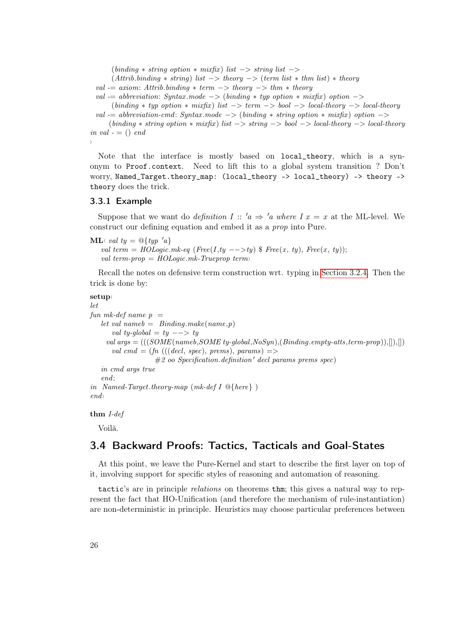$(binding * string option * mixfix) list -> string list ->$ 

 $(Attrib.binding * string)$  list  $\rightarrow$  theory  $\rightarrow$  (term list  $*$  thm list)  $*$  theory

```
val v = axiom: Attrib. binding * term \rightarrow theory \rightarrow thm * theory
```
val  $-$  abbreviation: Syntax mode  $->$  (binding  $*$  typ option  $*$  mixfix) option  $->$ 

```
(binding * typ option * mixfix) list -> term -> bool -> local-theory -> local-theory
```
val  $-$  abbreviation-cmd: Syntax mode  $-$ > (binding  $*$  string option  $*$  mixfix) option  $-$ >  $(binding * string option * mixfix) list -> string -> bool -> local-theory -> local-theory$ in val  $- = ()$  end

```
\langle
```
Note that the interface is mostly based on local\_theory, which is a synonym to Proof.context. Need to lift this to a global system transition ? Don't worry, Named\_Target.theory\_map: (local\_theory -> local\_theory) -> theory -> theory does the trick.

### <span id="page-25-0"></span>3.3.1 Example

Suppose that we want do *definition I* :: ' $a \Rightarrow 'a$  where I  $x = x$  at the ML-level. We construct our defining equation and embed it as a prop into Pure.

**ML** $\langle$  val ty =  $\mathcal{Q}\lbrace typ \space' a \rbrace$ val term = HOLogic.mk-eq (Free(I,ty -->ty)  $\$ Free(x, ty), Free(x, ty)); val term-prop =  $HOLogic.mk-Trueprop$  term

Recall the notes on defensive term construction wrt. typing in [Section 3.2.4.](#page-20-1) Then the trick is done by:

## setup

```
let
fun mk-def name p =let val nameb = \text{Binding.make}(name, p)val ty-global = ty --> ty
    val args =(((SOME(nameb, SOME ty-global, NoSyn), (Binding. empty-atts, term-prop)), \|), \|)val cmd = (fn (((decl, spec), prems), params) =>
                    #2 oo Specification.definition' decl params prems spec)
   in cmd args true
   end;
in Named-Target.theory-map (mk\text{-}def\ I \mathcal{Q}_\text{R})
end
```
thm I-def

Voilà.

# <span id="page-25-1"></span>3.4 Backward Proofs: Tactics, Tacticals and Goal-States

At this point, we leave the Pure-Kernel and start to describe the first layer on top of it, involving support for specific styles of reasoning and automation of reasoning.

tactic's are in principle relations on theorems thm; this gives a natural way to represent the fact that HO-Unification (and therefore the mechanism of rule-instantiation) are non-deterministic in principle. Heuristics may choose particular preferences between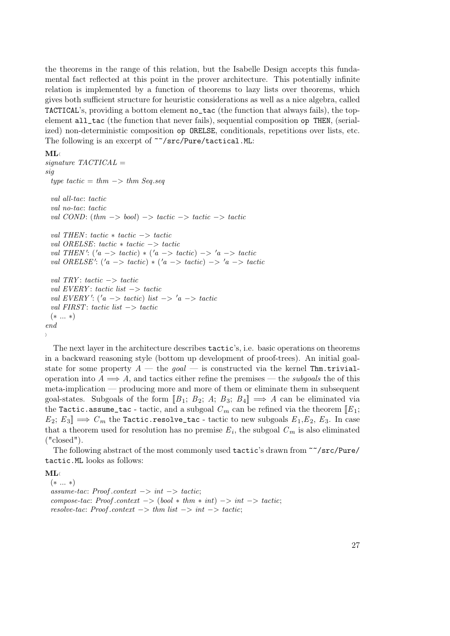the theorems in the range of this relation, but the Isabelle Design accepts this fundamental fact reflected at this point in the prover architecture. This potentially infinite relation is implemented by a function of theorems to lazy lists over theorems, which gives both sufficient structure for heuristic considerations as well as a nice algebra, called TACTICAL's, providing a bottom element no\_tac (the function that always fails), the topelement all\_tac (the function that never fails), sequential composition op THEN, (serialized) non-deterministic composition op ORELSE, conditionals, repetitions over lists, etc. The following is an excerpt of ~~/src/Pure/tactical.ML:

#### $ML \langle$

```
signature TACTICAL =sig
  type tactic = thm \rightarrow thm Seq.seq
  val all-tac: tactic
  val no-tac: tactic
  val COND: (thm \rightarrow bool) \rightarrow tactic \rightarrow tactic \rightarrow tacticval THEN : tactic ∗ tactic −> tactic
  val ORELSE: tactic ∗ tactic −> tactic
  val THEN': (a \rightarrow \t\text{tactic}) * (a \rightarrow \t\text{tactic}) \rightarrow 'a \rightarrow \t\text{tactic}val ORELSE': (a \rightarrow \t\text{tactic}) * ('a \rightarrow \t\text{tactic}) \rightarrow 'a \rightarrow \t\text{tactic}val TRY: tactic \rightarrow tactic
  val EVERY : tactic list −> tactic
  val EVERY': ('a -> tactic) list -> 'a -> tactic
  val FIRST: tactic list −> tactic
  (∗ ... ∗)
end
\left\langle \right\rangle
```
The next layer in the architecture describes tactic's, i.e. basic operations on theorems in a backward reasoning style (bottom up development of proof-trees). An initial goalstate for some property  $A$  — the goal — is constructed via the kernel Thm.trivialoperation into  $A \implies A$ , and tactics either refine the premises — the *subgoals* the of this meta-implication — producing more and more of them or eliminate them in subsequent goal-states. Subgoals of the form  $[[B_1; B_2; A; B_3; B_4]] \implies A$  can be eliminated via the Tactic.assume\_tac - tactic, and a subgoal  $C_m$  can be refined via the theorem  $[**E**<sub>1</sub>;$  $E_2: E_3 \rightarrow C_m$  the Tactic.resolve\_tac - tactic to new subgoals  $E_1, E_2, E_3$ . In case that a theorem used for resolution has no premise  $E_i$ , the subgoal  $C_m$  is also eliminated ("closed").

The following abstract of the most commonly used tactic's drawn from ~~/src/Pure/ tactic.ML looks as follows:

 $ML$ 

(∗ ... ∗)  $assume\text{-}tac: Proof. context \rightarrow int \rightarrow tactic;$ compose-tac: Proof.context  $\rightarrow$  (bool  $*$  thm  $*$  int)  $\rightarrow$  int  $\rightarrow$  tactic; resolve-tac: Proof.context  $->$  thm list  $->$  int  $->$  tactic;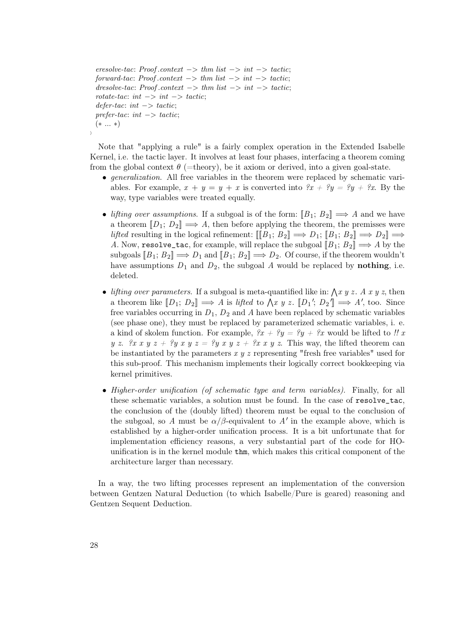```
eresolve-tac: Proof.context -> thm list -> int -> tactic;
forward-tac: Proof.context -> thm list -> int -> tactic;
dresolve-tac: Proof.context -> thm list -> int -> tactic;
rotate-tac: int \rightarrow int \rightarrow tactic;defer-tac: int \rightarrow tactic;prefer-tac: int \rightarrow tactic;(∗ ... ∗)
```
Note that "applying a rule" is a fairly complex operation in the Extended Isabelle Kernel, i.e. the tactic layer. It involves at least four phases, interfacing a theorem coming from the global context  $\theta$  (=theory), be it axiom or derived, into a given goal-state.

- generalization. All free variables in the theorem were replaced by schematic variables. For example,  $x + y = y + x$  is converted into  $\hat{x}x + \hat{y}y = \hat{y}y + \hat{z}x$ . By the way, type variables were treated equally.
- lifting over assumptions. If a subgoal is of the form:  $[[B_1; B_2]] \Longrightarrow A$  and we have a theorem  $[D_1; D_2] \implies A$ , then before applying the theorem, the premisses were *lifted* resulting in the logical refinement:  $[[B_1; B_2]] \Longrightarrow D_1; [B_1; B_2] \Longrightarrow D_2] \Longrightarrow$ A. Now, resolve\_tac, for example, will replace the subgoal  $[[B_1; B_2]] \Longrightarrow A$  by the subgoals  $[[B_1; B_2]] \Longrightarrow D_1$  and  $[[B_1; B_2]] \Longrightarrow D_2$ . Of course, if the theorem wouldn't have assumptions  $D_1$  and  $D_2$ , the subgoal A would be replaced by **nothing**, i.e. deleted.
- lifting over parameters. If a subgoal is meta-quantified like in:  $\int x y z$ . A x y z, then a theorem like  $[[D_1; D_2]] \Longrightarrow A$  is lifted to  $\bigwedge x \ y \ z$ .  $[[D_1'; D_2]] \Longrightarrow A'$ , too. Since free variables occurring in  $D_1$ ,  $D_2$  and A have been replaced by schematic variables (see phase one), they must be replaced by parameterized schematic variables, i. e. a kind of skolem function. For example,  $\ell x + \ell y = \ell y + \ell x$  would be lifted to !! x y z.  $\mathscr{X} x$  y  $z + \mathscr{Y} y$  x y  $z = \mathscr{Y} y$  x y  $z + \mathscr{X} x$  y z. This way, the lifted theorem can be instantiated by the parameters  $x y z$  representing "fresh free variables" used for this sub-proof. This mechanism implements their logically correct bookkeeping via kernel primitives.
- Higher-order unification (of schematic type and term variables). Finally, for all these schematic variables, a solution must be found. In the case of resolve\_tac, the conclusion of the (doubly lifted) theorem must be equal to the conclusion of the subgoal, so A must be  $\alpha/\beta$ -equivalent to A' in the example above, which is established by a higher-order unification process. It is a bit unfortunate that for implementation efficiency reasons, a very substantial part of the code for HOunification is in the kernel module thm, which makes this critical component of the architecture larger than necessary.

In a way, the two lifting processes represent an implementation of the conversion between Gentzen Natural Deduction (to which Isabelle/Pure is geared) reasoning and Gentzen Sequent Deduction.

 $\langle$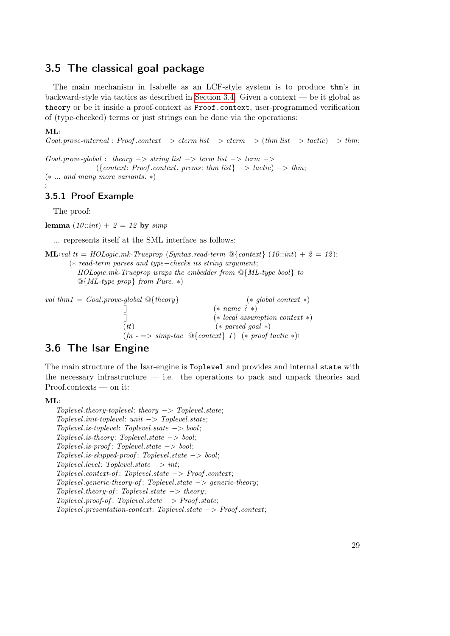# <span id="page-28-0"></span>3.5 The classical goal package

The main mechanism in Isabelle as an LCF-style system is to produce thm's in backward-style via tactics as described in [Section 3.4.](#page-25-1) Given a context — be it global as theory or be it inside a proof-context as Proof.context, user-programmed verification of (type-checked) terms or just strings can be done via the operations:

### $ML$

<span id="page-28-1"></span> $\rangle$ 

 $Goal.prove-internal : Proof. context -> cterm list -> cterm -> (thm list -> tactic) -> thm;$ 

 $Goal.\nspace: prove\n -global: theory \nightharpoonup \nightharpoonup \nightharpoonup \nightharpoonup \nightharpoonup \nightharpoonup \nightharpoonup \nightharpoonup \nightharpoonup \nightharpoonup \nightharpoonup \nightharpoonup \nightharpoonup \nightharpoonup \nightharpoonup \nightharpoonup \nightharpoonup \nightharpoonup \nightharpoonup \nightharpoonup \nightharpoonup \nightharpoonup \nightharpoonup \nightharpoonup \nightharpoonup \nightharpoonup \nightharpoonup \nightharpoonup \nightharpoonup \nightharpoonup \nightharpoonup \nightharpoonup \nightharpoonup \nightharpoonup \nighth$  $({\text{context: Proof.} context, prems: thm list} \rightarrow \text{tactic}) \rightarrow \text{thm};$ 

(∗ ... and many more variants. ∗)

## 3.5.1 Proof Example

The proof:

lemma  $(10::int) + 2 = 12$  by  $simp$ 

... represents itself at the SML interface as follows:

```
ML(val tt = HOLogic.mk-Trueprop (Syntax.read-term \mathbb{Q}\{\text{context}\}\ (10::int) + 2 = 12);
       (∗ read-term parses and type−checks its string argument;
          HOLogic.mk-Trueprop wraps the embedder from @{ML-type bool} to
```

```
@{ML-type prop} from Pure. ∗)
```

| val thm1 = Goal.prove-global $\mathcal{Q}\$ {theory} | $(*$ global context $*)$                                                                                                           |
|------------------------------------------------------|------------------------------------------------------------------------------------------------------------------------------------|
|                                                      | $(* name ? *)$                                                                                                                     |
|                                                      | $(*$ local assumption context $*)$                                                                                                 |
| (tt)                                                 | $(*\text{ parsed goal }*)$                                                                                                         |
|                                                      | $(fn \rightarrow \Rightarrow simp\text{-}tac \text{ } \textcircled{a} \{context\} \text{ } 1) \text{ } (* \text{ proof} tactic *)$ |

# <span id="page-28-2"></span>3.6 The Isar Engine

The main structure of the Isar-engine is Toplevel and provides and internal state with the necessary infrastructure  $\frac{d}{dx}$  i.e. the operations to pack and unpack theories and Proof.contexts — on it:

 $ML \langle$ 

```
Toplevel. theory-toplevel: theory <math>\rightarrow</math> <i>Toplevel.state</i>;Toplevel.init-toplevel: unit \rightarrow Toplevel.setatToplevel.is-toplevel: Toplevel.state −> bool;
Toplevel.is-theory: Toplevel.state -> bool;Toplevel.is\text{-}proof: Toplevel.state \text{ightharpoonup} bool;Toplevel.is-skipped-proof: Toplevel.state \rightarrow bool;To\n\nparallel: To\n\nparallel: state \rightarrow int:Toplevel.context-of : Toplevel.state −> Proof .context;
Toplevel.generic-theory-of: Toplevel.state \rightarrow generic-theory;Toplevel. theory-of: Toplevel. state \rightarrow theory;Toplevel.popf of: Toplevel.state \rightarrow Proof. state;Toplevel.presentation-context: Toplevel.state −> Proof .context;
```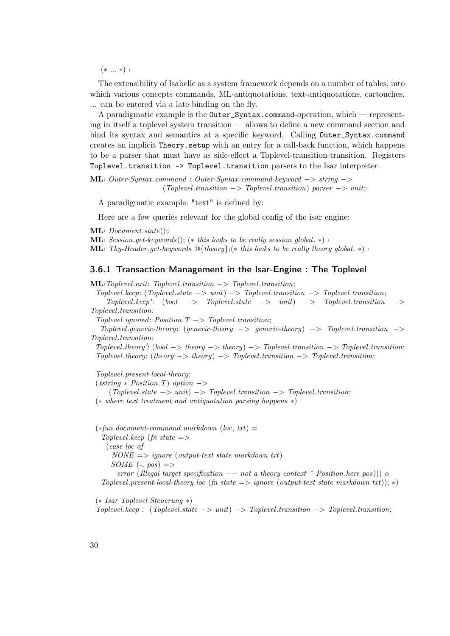$(* ... *)$ 

The extensibility of Isabelle as a system framework depends on a number of tables, into which various concepts commands, ML-antiquotations, text-antiquotations, cartouches, ... can be entered via a late-binding on the fly.

A paradigmatic example is the Outer\_Syntax.command-operation, which — representing in itself a toplevel system transition — allows to define a new command section and bind its syntax and semantics at a specific keyword. Calling Outer\_Syntax.command creates an implicit Theory.setup with an entry for a call-back function, which happens to be a parser that must have as side-effect a Toplevel-transition-transition. Registers Toplevel.transition -> Toplevel.transition parsers to the Isar interpreter.

 $ML$ \ Outer-Syntax .command : Outer-Syntax .command-keyword −> string −>  $(Toplevel, transition \rightarrow Toplevel, transition) \text{ parser} \rightarrow unit;$ 

A paradigmatic example: "text" is defined by:

Here are a few queries relevant for the global config of the isar engine:

 $ML \in Document.state();$ 

**ML** Session.get-keywords(); (\* this looks to be really session global. \*) in

**ML** $\langle$  Thy-Header .get-keywords  $\mathcal{Q}\{\text{theory}\};(*\text{ this looks to be really theory global.}\*)$ 

### <span id="page-29-0"></span>3.6.1 Transaction Management in the Isar-Engine : The Toplevel

 $ML\{Toplevel.exit: \text{Toplevel}.transition \rightarrow \text{Toplevel}.transition;$  $Toplevel, keep: (Toplevel, state \rightarrow unit) \rightarrow Toplevel, transition \rightarrow Toplevel, transition;$  $Toplevel\mathsf{.}keep':\verb|(bool -> Toplevel\mathsf{.}state -> unit) -> Toplevel\mathsf{.}transition ->$ Toplevel.transition;  $Toplevel.inored: Position. T \rightarrow Toplevel. transition;$ Toplevel.generic-theory: (generic-theory  $\rightarrow$  generic-theory)  $\rightarrow$  Toplevel.transition  $\rightarrow$ Toplevel.transition;  $Toplevel. theory': (bool \rightarrow theory \rightarrow theory) \rightarrow Toplevel. transition \rightarrow Toplevel. transition;$  $Toplevel.$ theory: (theory  $\rightarrow$  theory)  $\rightarrow$  Toplevel.transition  $\rightarrow$  Toplevel.transition; Toplevel.present-local-theory:

 $(xstring * Position.T)$  option  $->$  $(Toplevel.state \rightarrow unit) \rightarrow Toplevel.train. = Toplevel.train.$ (∗ where text treatment and antiquotation parsing happens ∗)

 $(*fun document-command markdown (loc,txt) =$ Toplevel.keep (fn state  $\Rightarrow$ (case loc of  $NONE \implies iqnore (output-text state markdown \, txt)$  $|$  SOME (-, pos)  $\Rightarrow$ error (Illegal target specification  $-$  not a theory context  $\hat{ }$  Position.here pos))) o Toplevel.present-local-theory loc (fn state  $\Rightarrow$  ignore (output-text state markdown txt)); \*)

(∗ Isar Toplevel Steuerung ∗)  $Toplevel\math> keep : (Toplevel\math> state \rightarrow unit) \rightarrow Toplevel\math> transition \rightarrow Toplevel\math> .$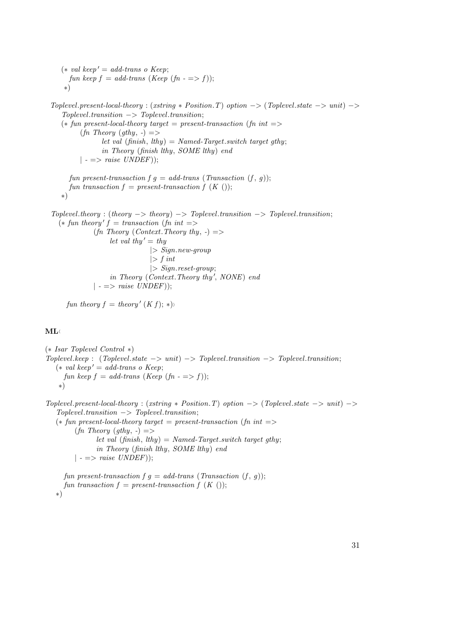$(* val keep' = add-trans o Keep;$ fun keep  $f = add\text{-}trans (Keep (fn - \implies f));$ ∗)

 $Toplevel, present-local-theory : (xstring * Position.T) option -> (Toplevel. state -> unit) ->$  $Toplevel. transition \rightarrow Toplevel. transition;$  $(*$  fun present-local-theory target = present-transaction (fn int =>  $(f_n$  Theory  $(gthy, -)$  => let val  $(\text{finish}, \text{lthy}) = \text{Named-Target}$ . switch target gthy; in Theory (finish lthy, SOME lthy) end  $| - \implies raise \ UNDER$ ); fun present-transaction  $f \, q = \text{add-trans}$  (Transaction  $(f, q)$ ); fun transaction  $f = present\text{-}transaction f (K )$ ;

$$
^{\ast})^{\dot{}}
$$

 $Toplevel. theory : (theory \rightarrow theory) \rightarrow Toplevel. transition \rightarrow Toplevel. transition;$  $(*$  fun theory'  $f =$  transaction (fn int =>  $(\text{fn Theory } (Context. Theory \text{thy}, -)$ let val thy' = thy  $|> Sign.new-group$  $|> f$  int |> Sign.reset-group; in Theory (Context. Theory thy', NONE) end  $| \text{ --} \implies \text{raise} \text{ } UNDEF \text{)}$ ;

fun theory  $f =$  theory'  $(K f); *$ )

### $ML$

(∗ Isar Toplevel Control ∗)  $Toplevel\mathit{.keep}$  : (Toplevel.state  $->$  unit)  $->$  Toplevel.transition  $->$  Toplevel.transition;  $(*\ val\ keep' = \ add\-trans\ o\ Keep;$ fun keep  $f = add\text{-}trans (Keep (fn - \implies f));$ ∗)

Toplevel.present-local-theory : (xstring \* Position.T) option  $\rightarrow$  (Toplevel.state  $\rightarrow$  unit)  $\rightarrow$  $Toplevel. transition \rightarrow Toplevel. transition;$  $(*$  fun present-local-theory target = present-transaction (fn int =>  $(f_n$  Theory  $(gthy, -)$  => let val  $(finish, lthy) = Name$ d-Target.switch target gthy; in Theory (finish lthy, SOME lthy) end  $\vert - \Rightarrow \text{raise } UNDEF);$ 

fun present-transaction  $f \, g = \text{add-}$ trans (Transaction  $(f, g)$ ); fun transaction  $f = present\text{-}transaction f (K )$ ; ∗)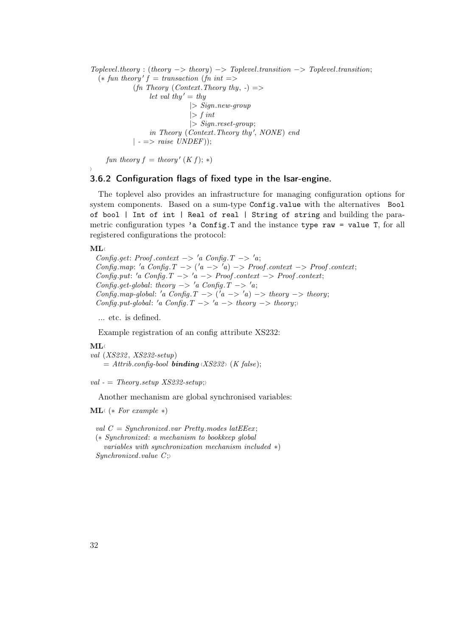$Toplevel. theory : (theory \rightarrow theory) \rightarrow Toplevel. transition \rightarrow Toplevel. transition;$  $(*$  fun theory'  $f =$  transaction (fn int =>  $(f_n$  Theory (Context. Theory thy, -) => let val thy'  $=$  thy  $|> Sign.new-group$  $|> f$  int  $|> Signreset-group;$ in Theory (Context. Theory thy', NONE) end  $| - \implies raise \ UNDER$ );

fun theory  $f =$  theory'  $(K f); *)$ 

## <span id="page-31-0"></span>3.6.2 Configuration flags of fixed type in the Isar-engine.

The toplevel also provides an infrastructure for managing configuration options for system components. Based on a sum-type Config.value with the alternatives Bool of bool | Int of int | Real of real | String of string and building the parametric configuration types 'a Config.T and the instance type raw = value T, for all registered configurations the protocol:

#### $ML \langle$

 $\rangle$ 

Config.get: Proof.context  $\rightarrow 'a$  Config. $T \rightarrow 'a$ ; Config.map: 'a Config.T  $\rightarrow$  ('a  $\rightarrow$  'a)  $\rightarrow$  Proof.context  $\rightarrow$  Proof.context; Config.put: 'a Config.T  $\rightarrow$  'a  $\rightarrow$  Proof.context  $\rightarrow$  Proof.context; Config.get-global: theory  $\rightarrow 'a$  Config. $T \rightarrow 'a$ ; Config.map-global: 'a Config.T  $\rightarrow$  ('a  $\rightarrow$  'a)  $\rightarrow$  theory  $\rightarrow$  theory; Config.put-global: 'a Config.T  $\rightarrow$  'a  $\rightarrow$  theory  $\rightarrow$  theory;

... etc. is defined.

Example registration of an config attribute XS232:

#### $ML \langle$

val (XS232 , XS232-setup)  $= Attrib.config-book binding \langle XS232 \rangle$  (K false);

val -  $=$  Theory.setup XS232-setup;

Another mechanism are global synchronised variables:

#### $ML$ (\* For example \*)

val  $C = Sunchronized-var Pretty modes latEEex;$ (∗ Synchronized: a mechanism to bookkeep global

variables with synchronization mechanism included ∗) Synchronized.value  $C$ ;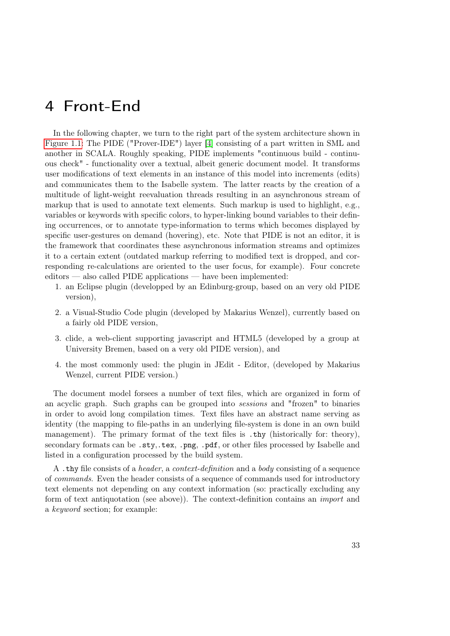# <span id="page-32-0"></span>4 Front-End

In the following chapter, we turn to the right part of the system architecture shown in [Figure 1.1:](#page-7-0) The PIDE ("Prover-IDE") layer [\[4\]](#page-54-3) consisting of a part written in SML and another in SCALA. Roughly speaking, PIDE implements "continuous build - continuous check" - functionality over a textual, albeit generic document model. It transforms user modifications of text elements in an instance of this model into increments (edits) and communicates them to the Isabelle system. The latter reacts by the creation of a multitude of light-weight reevaluation threads resulting in an asynchronous stream of markup that is used to annotate text elements. Such markup is used to highlight, e.g., variables or keywords with specific colors, to hyper-linking bound variables to their defining occurrences, or to annotate type-information to terms which becomes displayed by specific user-gestures on demand (hovering), etc. Note that PIDE is not an editor, it is the framework that coordinates these asynchronous information streams and optimizes it to a certain extent (outdated markup referring to modified text is dropped, and corresponding re-calculations are oriented to the user focus, for example). Four concrete editors — also called PIDE applications — have been implemented:

- 1. an Eclipse plugin (developped by an Edinburg-group, based on an very old PIDE version),
- 2. a Visual-Studio Code plugin (developed by Makarius Wenzel), currently based on a fairly old PIDE version,
- 3. clide, a web-client supporting javascript and HTML5 (developed by a group at University Bremen, based on a very old PIDE version), and
- 4. the most commonly used: the plugin in JEdit Editor, (developed by Makarius Wenzel, current PIDE version.)

The document model forsees a number of text files, which are organized in form of an acyclic graph. Such graphs can be grouped into sessions and "frozen" to binaries in order to avoid long compilation times. Text files have an abstract name serving as identity (the mapping to file-paths in an underlying file-system is done in an own build management). The primary format of the text files is .thy (historically for: theory), secondary formats can be .sty,.tex, .png, .pdf, or other files processed by Isabelle and listed in a configuration processed by the build system.

A .thy file consists of a header, a context-definition and a body consisting of a sequence of commands. Even the header consists of a sequence of commands used for introductory text elements not depending on any context information (so: practically excluding any form of text antiquotation (see above)). The context-definition contains an import and a keyword section; for example: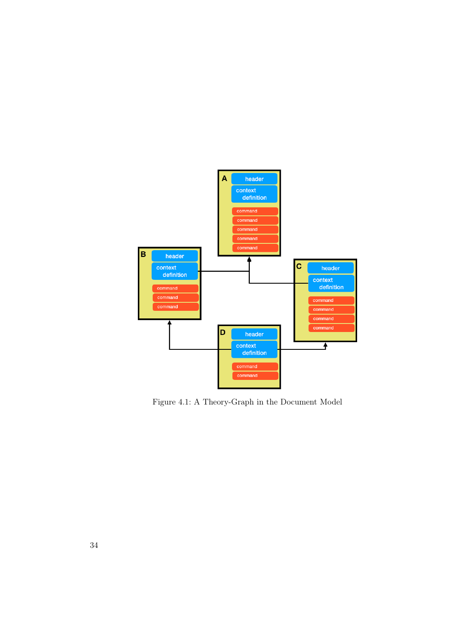

Figure 4.1: A Theory-Graph in the Document Model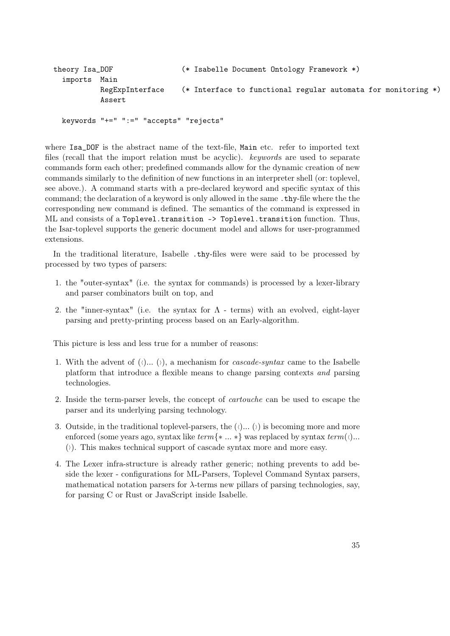```
theory Isa_DOF (* Isabelle Document Ontology Framework *)
 imports Main
          RegExpInterface (* Interface to functional regular automata for monitoring *)
          Assert
 keywords "+=" ":=" "accepts" "rejects"
```
where Isa\_DOF is the abstract name of the text-file, Main etc. refer to imported text files (recall that the import relation must be acyclic). keywords are used to separate commands form each other; predefined commands allow for the dynamic creation of new commands similarly to the definition of new functions in an interpreter shell (or: toplevel, see above.). A command starts with a pre-declared keyword and specific syntax of this command; the declaration of a keyword is only allowed in the same .thy-file where the the corresponding new command is defined. The semantics of the command is expressed in ML and consists of a Toplevel.transition -> Toplevel.transition function. Thus, the Isar-toplevel supports the generic document model and allows for user-programmed extensions.

In the traditional literature, Isabelle .thy-files were were said to be processed by processed by two types of parsers:

- 1. the "outer-syntax" (i.e. the syntax for commands) is processed by a lexer-library and parser combinators built on top, and
- 2. the "inner-syntax" (i.e. the syntax for  $\Lambda$  terms) with an evolved, eight-layer parsing and pretty-printing process based on an Early-algorithm.

This picture is less and less true for a number of reasons:

- 1. With the advent of  $($  $\langle$ )...  $($  $\rangle)$ , a mechanism for *cascade-syntax* came to the Isabelle platform that introduce a flexible means to change parsing contexts and parsing technologies.
- 2. Inside the term-parser levels, the concept of cartouche can be used to escape the parser and its underlying parsing technology.
- 3. Outside, in the traditional toplevel-parsers, the  $(\langle \cdot, \dots \rangle)$  is becoming more and more enforced (some years ago, syntax like  $term{\ast \dots \ast}$ ) was replaced by syntax  $term(\cdot)$ ...  $(i)$ . This makes technical support of cascade syntax more and more easy.
- 4. The Lexer infra-structure is already rather generic; nothing prevents to add beside the lexer - configurations for ML-Parsers, Toplevel Command Syntax parsers, mathematical notation parsers for  $\lambda$ -terms new pillars of parsing technologies, say, for parsing C or Rust or JavaScript inside Isabelle.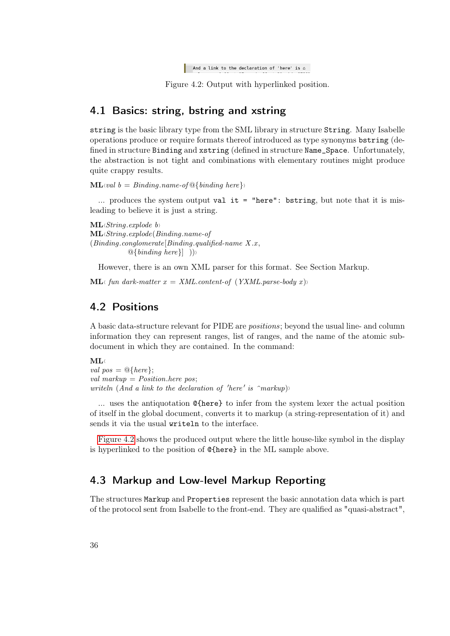```
And a link to the declaration of 'here' is \triangle
```
Figure 4.2: Output with hyperlinked position.

# <span id="page-35-3"></span><span id="page-35-0"></span>4.1 Basics: string, bstring and xstring

string is the basic library type from the SML library in structure String. Many Isabelle operations produce or require formats thereof introduced as type synonyms bstring (defined in structure Binding and xstring (defined in structure Name\_Space. Unfortunately, the abstraction is not tight and combinations with elementary routines might produce quite crappy results.

 $ML\{val\}$  = Binding.name-of  $\mathcal{Q}\{\text{binding\,}$ 

... produces the system output val it = "here": bstring, but note that it is misleading to believe it is just a string.

 $ML\langle String.explode \ b\rangle$  $ML \triangle String.explode( Binding.name-of$  $(Binding.conglomerate[Binding.qualified-name X.x,$  $\mathbb{Q} \{\text{binding here}\}\$ ))

However, there is an own XML parser for this format. See Section Markup.

**ML** fun dark-matter  $x = XML content-of (YXML.parse-body x)$ 

# <span id="page-35-1"></span>4.2 Positions

A basic data-structure relevant for PIDE are positions; beyond the usual line- and column information they can represent ranges, list of ranges, and the name of the atomic subdocument in which they are contained. In the command:

### $ML$

val  $pos = \mathcal{Q}\{here\};$ val markup  $= Position.$ here pos; writeln (And a link to the declaration of 'here' is  $\hat{m}$ arkup)

... uses the antiquotation @{here} to infer from the system lexer the actual position of itself in the global document, converts it to markup (a string-representation of it) and sends it via the usual writeln to the interface.

[Figure 4.2](#page-35-3) shows the produced output where the little house-like symbol in the display is hyperlinked to the position of @{here} in the ML sample above.

# <span id="page-35-2"></span>4.3 Markup and Low-level Markup Reporting

The structures Markup and Properties represent the basic annotation data which is part of the protocol sent from Isabelle to the front-end. They are qualified as "quasi-abstract",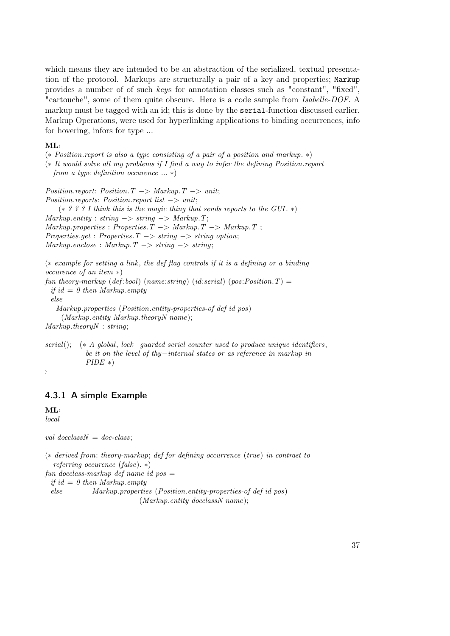which means they are intended to be an abstraction of the serialized, textual presentation of the protocol. Markups are structurally a pair of a key and properties; Markup provides a number of of such keys for annotation classes such as "constant", "fixed", "cartouche", some of them quite obscure. Here is a code sample from Isabelle-DOF. A markup must be tagged with an id; this is done by the serial-function discussed earlier. Markup Operations, were used for hyperlinking applications to binding occurrences, info for hovering, infors for type ...

### $ML$

(∗ Position.report is also a type consisting of a pair of a position and markup. ∗) (∗ It would solve all my problems if I find a way to infer the defining Position.report from a type definition occurence  $\ldots *$ )

 $Position.report: Position.T \rightarrow Markup.T \rightarrow unit;$ Position.reports: Position.report list −> unit;  $(* ? ? ? I$  think this is the magic thing that sends reports to the GUI.  $*)$  $Markup.$ entity : string  $\rightarrow$  string  $\rightarrow$  Markup. T;  $Markup.properties : Properties.T -> Markup.T -> Markup.$  $Properties.get: Properties.T \rightarrow string \rightarrow string \; option;$  $Markup. enclose : Markup. T \longrightarrow string \longrightarrow string;$ 

(∗ example for setting a link , the def flag controls if it is a defining or a binding occurence of an item ∗) fun theory-markup (def:bool) (name:string) (id:serial) (pos:Position.T) = if id = 0 then Markup.empty else Markup.properties (Position.entity-properties-of def id pos) (Markup.entity Markup.theoryN name);  $Markup-theoryN: string;$ 

serial(); ( $\ast$  A global, lock–guarded seriel counter used to produce unique identifiers, be it on the level of thy−internal states or as reference in markup in  $PIDE *$ )

#### $\left\langle \right\rangle$

## <span id="page-36-0"></span>4.3.1 A simple Example

 $ML \langle$ local

val docclass $N = doc-class$ :

(∗ derived from: theory-markup; def for defining occurrence (true) in contrast to referring occurence (false). ∗) fun docclass-markup def name id pos  $=$ if id = 0 then Markup.empty else Markup.properties (Position.entity-properties-of def id pos)  $(Markup.$ entity docclassN name);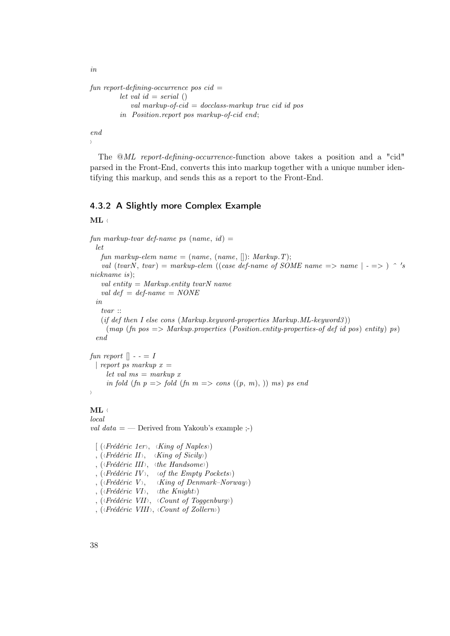in

```
fun report-defining-occurrence pos cid =let val id = serial ()val markup-of-cid = docclass-markup true cid id pos
         in Position.report pos markup-of-cid end;
```
end  $\lambda$ 

The @ML report-defining-occurrence-function above takes a position and a "cid" parsed in the Front-End, converts this into markup together with a unique number identifying this markup, and sends this as a report to the Front-End.

### <span id="page-37-0"></span>4.3.2 A Slightly more Complex Example

 $ML \leftarrow$ 

```
fun markup-tvar def-name ps (name, id) =let
   fun markup-elem name = (name, (name, []): Markup.T);val (tvarN, tvar) = markup-elem ((case def-name of SOME name => name | - => ) ^ 's
nickname is);
   val entity = Markup.entity tvarN name
   val def = def-name = NONEin
   tvar ::
   (if def then I else cons (Markup.keyword-properties Markup.ML-keyword3))
    (map (fn pos \Rightarrow Markup.properties (Position.entity-properties-of def id pos) entity) ps)
 end
```
fun report  $\vert \vert - = I$ | report ps markup  $x =$ let val  $ms = markup x$ in fold (fn  $p \implies$  fold (fn  $m \implies$  cons  $((p, m), ))$  ms) ps end  $\rightarrow$ 

## $ML \langle$

local *val data*  $=$  — Derived from Yakoub's example :-)

 $\left[ \right.$  (*\Frédéric 1er*  $\rangle$ , *\King of Naples \)* , ( $\langle Fr\acute{e}d\acute{e}ric \ H\rangle$ ,  $\langle King \ of \ Sicily \rangle$ ) , ( $\langle Fr\acute{e}d\acute{e}ric III\rangle$ ,  $\langle the\ Handsome\rangle$ ) , ( $\langle \text{Fr\'ed\'eric } IV \rangle$ ,  $\langle \text{of the Empty Pockets} \rangle$ ) , ( $\langle Frédéric \ V \rangle$ ,  $\langle King \ of \ Denmark-Norway \rangle$ ) , ( $\langle Fr\acute{e}d\acute{e}ric \ VI\rangle$ ,  $\langle the \ Knight \rangle$ ) , ( $\langle$ Frédéric VII),  $\langle Count \space of \space Toggenburg \rangle$ , ( $\langle Fr\acute{e}d\acute{e}ric \ VIII \rangle$ ,  $\langle Count \ of \ Zollern \rangle$ )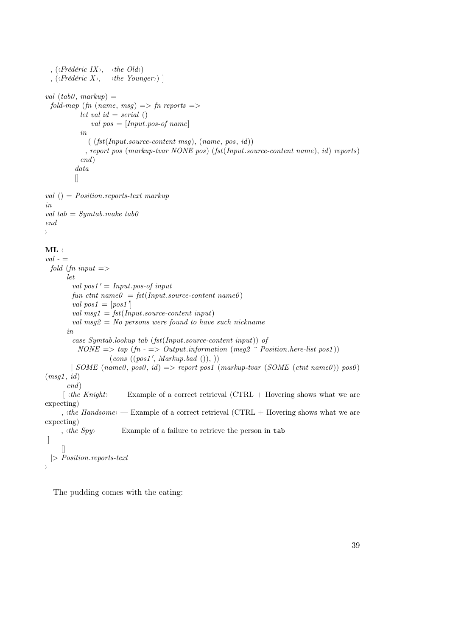```
, (\langle Fr\acute{e}d\acute{e}ric\ IX\rangle, \langle the\ Old\rangle)
 , (\langle Fr\acute{e}d\acute{e}ric X \rangle, \langle the Younger \rangle) ]
val (tab0, markup) =fold-map (fn (name, msg) \Rightarrow fn reports \Rightarrowlet val id = serial ()val pos = [Input. pos of name]in
               ( (fst(Input, source-content msq), (name, pos, id)), report pos (markup-tvar NONE pos) (fst(Input.source-content name), id) reports)
            end)
          data
          \sqrt{2}val () = Position.reports-text markup
in
val tab = Symtab.make tab\thetaend
i
ML \leftarrowval - =fold (fn input = >
       let
         val pos1' = Input.pop-offun ctnt name0 = \text{fst}(\text{Input}.\text{source-content name0})val pos1 = [pos1']val msq1 = \frac{fst(\text{Input}.\text{source}.\text{content}.\text{input})}{t}val msq2 = No persons were found to have such nickname
       in
         case Symtab.lookup tab (fst(Input.source-content input)) of
           NONE \implies tap \ (fn \ - \implies Output.information \ (msg2 \ \ \ \ Possimisticn.here-list \ pos1))(cons ((pos1', Markup.bad ())), ))| SOME (name0, pos0, id) => report pos1 (markup-tvar (SOME (ctnt name0)) pos0)
(msg1, id)end)
      \lceil \phi \cdot \text{diag}(k) \rceil is the Knight i Example of a correct retrieval (CTRL + Hovering shows what we are
expecting)
     , \langlethe Handsome \rangle — Example of a correct retrieval (CTRL + Hovering shows what we are
expecting)
     , the Spy i — Example of a failure to retrieve the person in tab
 ]
     \Box|> Position.reports-text
\overline{\phantom{a}}
```
The pudding comes with the eating: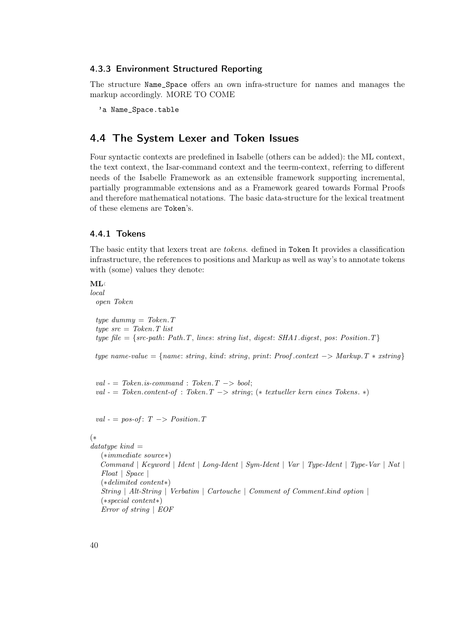#### <span id="page-39-0"></span>4.3.3 Environment Structured Reporting

The structure Name\_Space offers an own infra-structure for names and manages the markup accordingly. MORE TO COME

'a Name\_Space.table

# <span id="page-39-1"></span>4.4 The System Lexer and Token Issues

Four syntactic contexts are predefined in Isabelle (others can be added): the ML context, the text context, the Isar-command context and the teerm-context, referring to different needs of the Isabelle Framework as an extensible framework supporting incremental, partially programmable extensions and as a Framework geared towards Formal Proofs and therefore mathematical notations. The basic data-structure for the lexical treatment of these elemens are Token's.

### <span id="page-39-2"></span>4.4.1 Tokens

The basic entity that lexers treat are tokens. defined in Token It provides a classification infrastructure, the references to positions and Markup as well as way's to annotate tokens with (some) values they denote:

#### $ML$

local open Token

> type dummy  $=$  Token. T type  $src = Token \cdot T$  list type file = {src-path: Path.T, lines: string list, digest: SHA1.digest, pos: Position.T}

type name-value = {name: string, kind: string, print: Proof.context  $->$  Markup. T  $*$  xstring}

 $val - = \textit{Token.is-command}: \textit{Token}. \textit{T} \rightarrow \textit{bool};$ val - = Token.content-of : Token. $T \rightarrow string$ ; (\* textueller kern eines Tokens. \*)

val - = pos-of:  $T \rightarrow Position.T$ 

### (∗

```
datatype\ kind =(∗immediate source∗)
   Command | Keyword | Ident | Long-Ident | Sym-Ident | Var | Type-Ident | Type-Var | Nat |
   Float | Space |
   (∗delimited content∗)
   String | Alt-String | Verbatim | Cartouche | Comment of Comment.kind option |
   (∗special content∗)
   Error of string | EOF
```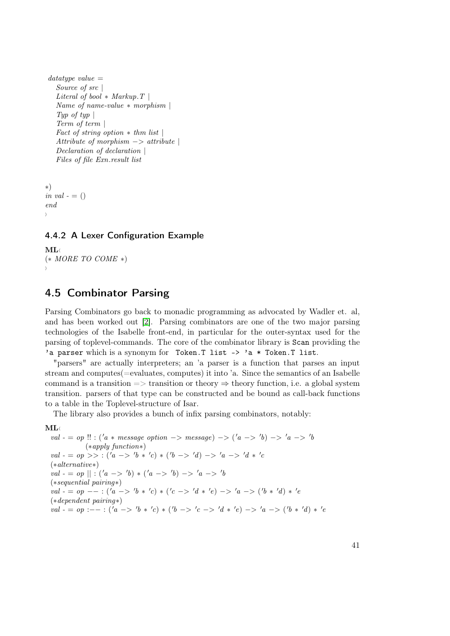```
datatype value =Source of src \vertLiteral of bool * Markup. T |
  Name of name-value ∗ morphism |
  Typ of typ |Term of term |
  Fact of string option * thm list
  Attribute of morphism \rightarrow attribute |
  Declaration of declaration |
  Files of file Exn.result list
```

```
∗)
in val - = ()end
i
```
## <span id="page-40-0"></span>4.4.2 A Lexer Configuration Example

```
ML \langle(* MORE TO COME *)i
```
# <span id="page-40-1"></span>4.5 Combinator Parsing

Parsing Combinators go back to monadic programming as advocated by Wadler et. al, and has been worked out [\[2\]](#page-54-4). Parsing combinators are one of the two major parsing technologies of the Isabelle front-end, in particular for the outer-syntax used for the parsing of toplevel-commands. The core of the combinator library is Scan providing the 'a parser which is a synonym for Token.T list -> 'a \* Token.T list.

"parsers" are actually interpreters; an 'a parser is a function that parses an input stream and computes(=evaluates, computes) it into 'a. Since the semantics of an Isabelle command is a transition  $\Rightarrow$  transition or theory  $\Rightarrow$  theory function, i.e. a global system transition. parsers of that type can be constructed and be bound as call-back functions to a table in the Toplevel-structure of Isar.

The library also provides a bunch of infix parsing combinators, notably:

#### $ML$

val - = op !! : ('a \* message option -> message) -> ('a -> 'b) -> 'a -> 'b (∗apply function∗)  $val - = op \gg : ('a \gg 'b * 'c) * ('b \gg 'd) \gg 'a \gg 'd * 'c$ (∗alternative∗)  $val - = op \mid | \cdot (a \rightarrow 'b) * (a \rightarrow 'b) \rightarrow 'a \rightarrow 'b$ (∗sequential pairing∗)  $val - = op - - : ('a -> 'b * 'c) * ('c -> 'd * 'e) -> 'a -> ('b * 'd) * 'e$ (∗dependent pairing∗)  $val - = op : - - : ('a -> 'b * 'c) * ('b -> 'c -> 'd * 'e) -> 'a -> ('b * 'd) * 'e$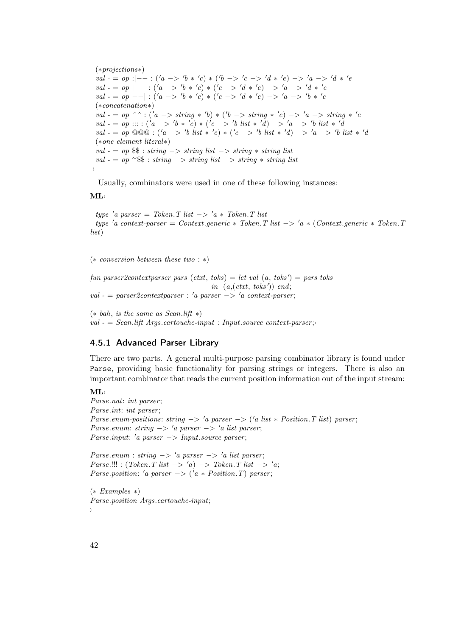(∗projections∗)  $val - = op : |- - : ('a -> 'b * 'c) * ('b -> 'c -> 'd * 'e) -> 'a -> 'd * 'e$  $val - = op |- - : ('a -> 'b * 'c) * ('c -> 'd * 'e) -> 'a -> 'd * 'e$  $val - = op -|-| : ('a -> 'b * 'c) * ('c -> 'd * 'e) -> 'a -> 'b * 'e$ (∗concatenation∗) val - = op ^^ : ('a -> string \* 'b) \* ('b -> string \* 'c) -> 'a -> string \* 'c  $val - = op :: : ('a \to 'b * 'c) * ('c \to 'b list * 'd) \to 'a \to 'b list * 'a$  $val - = op \ @\ @\ @: ('a \rightarrow 'b \; list * 'c) * ('c \rightarrow 'b \; list * 'd) \rightarrow 'a \rightarrow 'b \; list * 'd$ (∗one element literal∗) val  $- = op$  \$\$ : string  $\rightarrow$  string list  $\rightarrow$  string  $\rightarrow$  string list val  $- = op$   $\sim$  \$\$ : string  $\rightarrow$  string list  $\rightarrow$  string  $*$  string list  $\rangle$ 

Usually, combinators were used in one of these following instances:

 $ML \langle$ 

type 'a parser = Token. T list  $\rightarrow$  'a  $*$  Token. T list type  $'a$  context-parser = Context.generic \* Token. T list  $\rightarrow 'a$  \* (Context.generic \* Token. T list)

(∗ conversion between these two : ∗)

fun parser2contextparser pars  $(\text{ctxt}, \text{toks}) = \text{let val}(a, \text{toks}') = \text{pars} \text{toks}$ in  $(a,(ctxt, toks'))$  end;  $val = parser2context parser : 'a parser -> 'a context-parser;$ 

 $(*$  bah, is the same as Scan.lift  $*)$  $val = Scan$ .lift Args.cartouche-input : Input.source context-parser;

### <span id="page-41-0"></span>4.5.1 Advanced Parser Library

There are two parts. A general multi-purpose parsing combinator library is found under Parse, providing basic functionality for parsing strings or integers. There is also an important combinator that reads the current position information out of the input stream:

 $ML \langle$ 

Parse.nat: int parser; Parse.int: int parser; Parse.enum-positions: string  $\rightarrow 'a$  parser  $\rightarrow ('a$  list  $*$  Position. T list) parser; Parse.enum: string  $-> 'a$  parser  $-> 'a$  list parser;  $Parse. input: 'a parser -> Input-source parser;$ 

Parse.enum : string  $\rightarrow 'a$  parser  $\rightarrow 'a$  list parser;  $Parse.$ !!! : (Token. T list  $-> 'a) -> Token$ . T list  $-> 'a$ ; Parse.position: 'a parser  $\Rightarrow$  ('a \* Position.T) parser;

(∗ Examples ∗) Parse.position Args.cartouche-input; i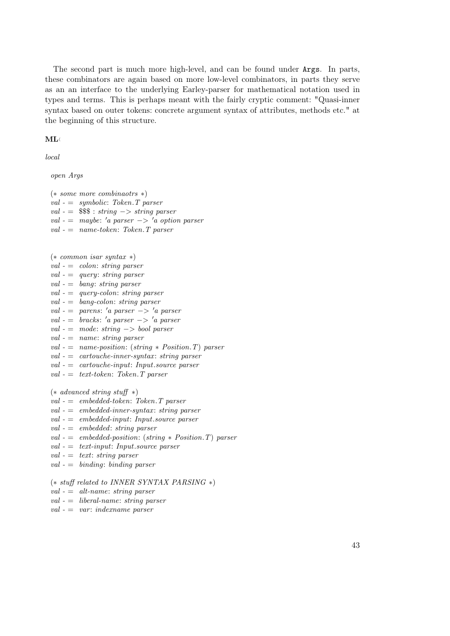The second part is much more high-level, and can be found under Args. In parts, these combinators are again based on more low-level combinators, in parts they serve as an an interface to the underlying Earley-parser for mathematical notation used in types and terms. This is perhaps meant with the fairly cryptic comment: "Quasi-inner syntax based on outer tokens: concrete argument syntax of attributes, methods etc." at the beginning of this structure.

```
ML
```
local

open Args

(∗ some more combinaotrs ∗)  $val - = symbolic: \;Token.T \; parser$  $val - =$  \$\$\$ : string  $\rightarrow$  string parser val - = maybe: 'a parser -> 'a option parser  $val - = name-token: Token. T parser$ 

- (∗ common isar syntax ∗)
- $val = colon: string parser$
- $val = query: string parser$
- $val =$  bang: string parser
- $val = query-color: string \text{ parser}$
- $val = banq\text{-}color: string parser$
- $val =$  parens: 'a parser  $-> 'a$  parser
- $val =$  bracks: 'a parser  $-> 'a$  parser
- $val = mode: string \rightarrow bool \ parser$
- $val = name: string parser$
- val = name-position: (string \* Position. T) parser
- $val =$  cartouche-inner-syntax: string parser
- $val =$  cartouche-input: Input.source parser
- $val = text-token: \textit{Token}. \textit{T parser}$

(∗ advanced string stuff ∗)

- $val =$  embedded-token: Token. T parser
- $val =$  embedded-inner-syntax: string parser
- $val =$  embedded-input: Input.source parser
- $val =$  embedded: string parser
- val  $-$  = embedded-position: (string  $*$  Position. T) parser
- $val = text-input: Input-source parser$
- $val = text: string parser$
- $val =$  binding: binding parser

(∗ stuff related to INNER SYNTAX PARSING ∗)

- $val = alt-name: string parser$
- $val =$  liberal-name: string parser
- $val = var: indexname\,\,parser$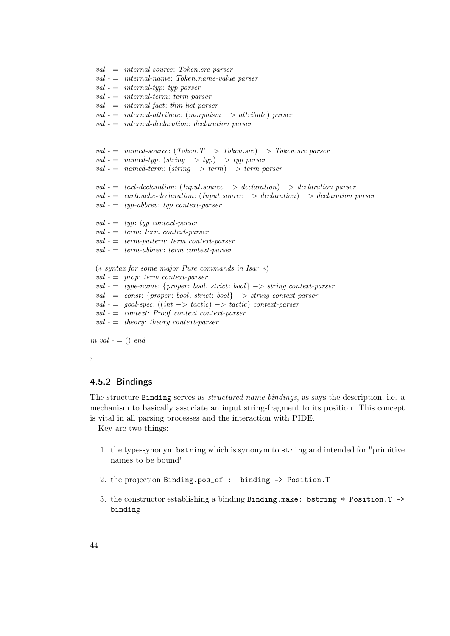```
val - = internal-name: Token.name-value parserval - = internal-tup: typ\ parserval - = internal-term: term \text{ parser}val - = internal-fact: thm list parser
 val = internal-attribute: (morphism -> attribute) parserval - = internal-declamation: declaration \text{ } parserval = named-source: (Token.T \rightarrow Token.src) \rightarrow Token.src parserval - = named-typ: (string \rightarrow typ) \rightarrow typ \ parserval - = named-term: (string -> term) -> term parser
 val - = text-declaration: (Input.source -> declaration) -> declaration parser
 val - = cartouche-declaration: (Input.source - > declaration) - > declaration parser
 val - = type-abbrew: typ context-parserval - = typ: typ context-parser
 val - = term: term context-parserval - = term-pattern: term context-parser
 val - = term - abbrev: term context-parser(∗ syntax for some major Pure commands in Isar ∗)
 val - = prop: term context-parser
 val - = type-name: {proper: bool, strict: bool} \rightarrow string context-parser
 val - = const: {proper: bool, strict: bool} -> string context-parser
 val - = goal-specific: ((int -> tactic) -> tactic) context-parserval - = context: Proof. context context.parseval - = theory: theory context-parser
in val - = () end
```
 $val - = internal-source: Token.src parser$ 

```
i
```
## <span id="page-43-0"></span>4.5.2 Bindings

The structure Binding serves as *structured name bindings*, as says the description, i.e. a mechanism to basically associate an input string-fragment to its position. This concept is vital in all parsing processes and the interaction with PIDE.

Key are two things:

- 1. the type-synonym bstring which is synonym to string and intended for "primitive names to be bound"
- 2. the projection Binding.pos\_of : binding -> Position.T
- 3. the constructor establishing a binding Binding.make: bstring \* Position.T -> binding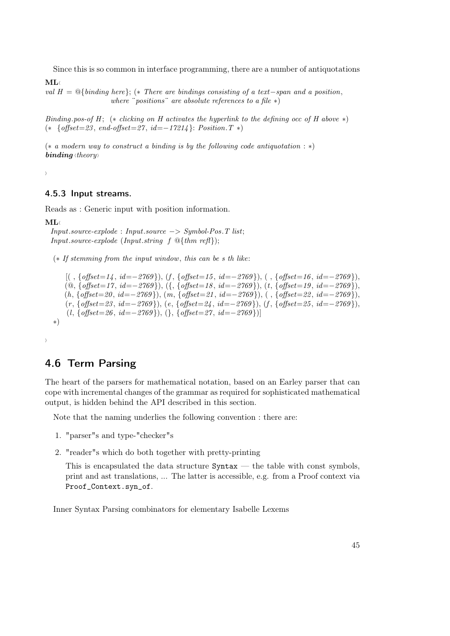Since this is so common in interface programming, there are a number of antiquotations

 $ML$ 

val  $H = \mathbb{Q}\{\text{binding here}\};$  (\* There are bindings consisting of a text−span and a position, where "positions" are absolute references to a file  $*)$ 

Binding.pos-of H; (\* clicking on H activates the hyperlink to the defining occ of H above \*)  $(* \{offset=23, end-offset=27, id=-17214\}$ : Position. T ∗)

(∗ a modern way to construct a binding is by the following code antiquotation : ∗)  $\boldsymbol{binding}$  (theory)

 $\left\langle \right\rangle$ 

### <span id="page-44-0"></span>4.5.3 Input streams.

Reads as : Generic input with position information.

 $ML$ 

```
Input source-explode: Input-source \rightarrow Symbol-Pos.T list;Input\qquad \qquad (Input\qquad f \mathcal{Q}{\{thm\ ref\}});
```
(∗ If stemming from the input window, this can be s th like:

```
[(, \{offset=14, id=-2769\}), (f, \{offset=15, id=-2769\}), (f, \{offset=16, id=-2769\}),(@, \{offset=17, id=-2769\}), ({, {offset=18, id=−2769}), (t, {offset=19, id=−2769}),
    (h, {offset = 20, id = −2769}), (m, {offset = 21, id = −2769}), ( , {offset = 22, id = −2769}),(r, \, \{ \text{offset=23}, \, \textit{id} \text{==2769}\}), \, (e, \, \{ \text{offset=24}, \, \textit{id}\text{==2769}\}), \, (f, \, \{ \text{offset=25}, \, \textit{id}\text{==2769}\}),(l, \{offset=26, id=-2769\}), (\}, \{offset=27, id=-2769\})∗)
```
 $\left\langle \right\rangle$ 

# <span id="page-44-1"></span>4.6 Term Parsing

The heart of the parsers for mathematical notation, based on an Earley parser that can cope with incremental changes of the grammar as required for sophisticated mathematical output, is hidden behind the API described in this section.

Note that the naming underlies the following convention : there are:

- 1. "parser"s and type-"checker"s
- 2. "reader"s which do both together with pretty-printing

This is encapsulated the data structure  $\texttt{Syntax}$  — the table with const symbols, print and ast translations, ... The latter is accessible, e.g. from a Proof context via Proof\_Context.syn\_of.

Inner Syntax Parsing combinators for elementary Isabelle Lexems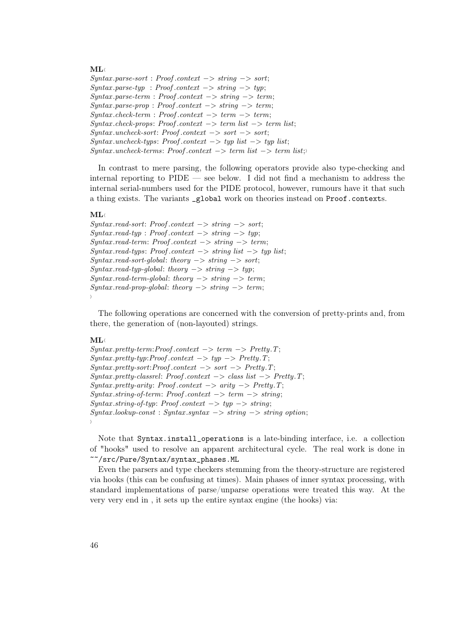#### $ML \langle$

 $Syn tax.parse-sort : Proof. context -> string -> sort;$  $Syntax.parse-type : Proof. context -> string -> typ;$  $Syntax.parse-term : Proof. context -> string -> term;$  $Syn tax.parse-prop : Proof. context -> string -> term;$  $Syn tax. check-term: Proof. context \rightarrow term \rightarrow term;$  $Syn tax. check-props: Proof. context \rightarrow term list \rightarrow term list;$  $Syn tax.$ uncheck-sort: Proof.context  $->$  sort  $->$  sort;  $Syn tax.$ uncheck-typs: Proof.context  $\rightarrow$  typ list  $\rightarrow$  typ list;  $Syn tax.$ uncheck-terms: Proof.context  $\rightarrow$  term list  $\rightarrow$  term list;

In contrast to mere parsing, the following operators provide also type-checking and internal reporting to PIDE — see below. I did not find a mechanism to address the internal serial-numbers used for the PIDE protocol, however, rumours have it that such a thing exists. The variants \_global work on theories instead on Proof.contexts.

#### $ML$

 $Syn tax.read-sort: Proof. context \rightarrow string \rightarrow sort;$  $Syn tax.read-type: Proof. context \rightarrow string \rightarrow typ;$  $Syn tax.read-term: Proof. context \rightarrow string \rightarrow term;$  $Syntax.read-types: Proof. context \rightarrow string list \rightarrow typ list;$  $Syn tax.read-sort-global: theory \rightarrow string \rightarrow sort;$  $Syntax.read-type-qlobal: theory \rightarrow string \rightarrow typ;$  $Syn tax.read-term-global: theory \rightarrow string \rightarrow term;$  $Syn tax.read-prop-global: theory \rightarrow string \rightarrow term;$ i

The following operations are concerned with the conversion of pretty-prints and, from there, the generation of (non-layouted) strings.

#### $ML \langle$

 $Syn tax. pretty-term: Proof. context \rightarrow term \rightarrow Pretty.T;$  $Syntax. pretty-type: Proof. context \rightarrow type \rightarrow Pretty. T;$  $Syn tax. pretty-sort: Proof. context \rightarrow sort \rightarrow Pretty. T;$  $Syn tax. pretty-class rel: Proof. context \rightarrow class list \rightarrow Pretty.T;$  $Syntax. pretty-artty: Proof. context \rightarrow arity \rightarrow Pretty. T;$  $Syntax. string-of-term: Proof. context \rightarrow term \rightarrow string;$  $Syn tax. string-of-type: Proof. context \rightarrow typ \rightarrow string;$  $Syntax. look up-const: Syntax. syntax -> string -> string option;$ i

Note that Syntax.install\_operations is a late-binding interface, i.e. a collection of "hooks" used to resolve an apparent architectural cycle. The real work is done in ~~/src/Pure/Syntax/syntax\_phases.ML

Even the parsers and type checkers stemming from the theory-structure are registered via hooks (this can be confusing at times). Main phases of inner syntax processing, with standard implementations of parse/unparse operations were treated this way. At the very very end in , it sets up the entire syntax engine (the hooks) via: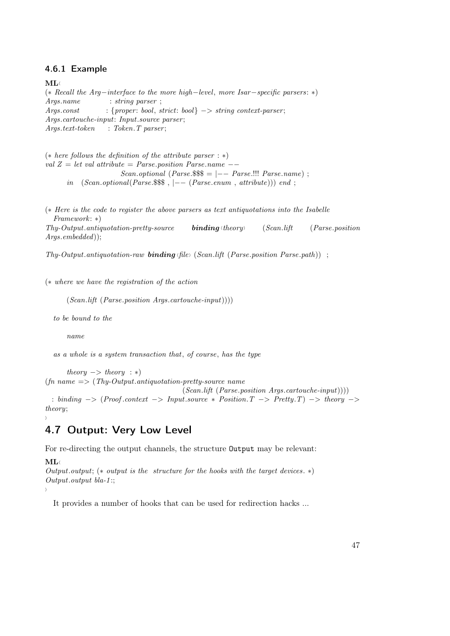### <span id="page-46-0"></span>4.6.1 Example

 $ML$ 

(∗ Recall the Arg−interface to the more high−level, more Isar−specific parsers: ∗) Args.name : string parser ;  $A \textit{rgs.} const$  : {proper: bool, strict: bool}  $\rightarrow$  string context-parser; Args.cartouche-input: Input.source parser ;  $A \, \textit{rgs.text-token}$  : Token. T parser;

(∗ here follows the definition of the attribute parser : ∗) val  $Z = let$  val attribute = Parse.position Parse.name  $Scan. optional (Parse.$ \$\$\$ =  $|-----$  Parse.!!! Parse.name) ; in  $(Scan. optional(Parse.$ \$\$\$,  $|--- (Parse. enum, attribute))$  end;

(∗ Here is the code to register the above parsers as text antiquotations into the Isabelle Framework: ∗)  $Thy-Output.antiquotation-prety-source$  binding  $\langle theory \rangle$  (Scan.lift (Parse.position Args.embedded));

 $Thu-Output.$  antiquotation-raw **binding** (file) (Scan.lift (Parse.position Parse.path)) ;

(∗ where we have the registration of the action

 $(Scan.lift (Parse. position Args. cartouche-input)))$ 

to be bound to the

name

as a whole is a system transaction that, of course, has the type

 $theory \rightarrow theory : *)$  $(f_n \text{ name } \Longrightarrow (Thy\text{-}Output.\text{antiquotation-} pretty-source name)$ (Scan.lift (Parse.position Args.cartouche-input)))) : binding −> (Proof .context −> Input.source ∗ Position.T −> Pretty.T) −> theory −>

theory;

<span id="page-46-1"></span> $\rangle$ 

# 4.7 Output: Very Low Level

For re-directing the output channels, the structure Output may be relevant:

 $ML$ 

 $\lambda$ 

Output.output;  $(*$  output is the structure for the hooks with the target devices.  $*$ ) Output.output bla-1 :;

It provides a number of hooks that can be used for redirection hacks ...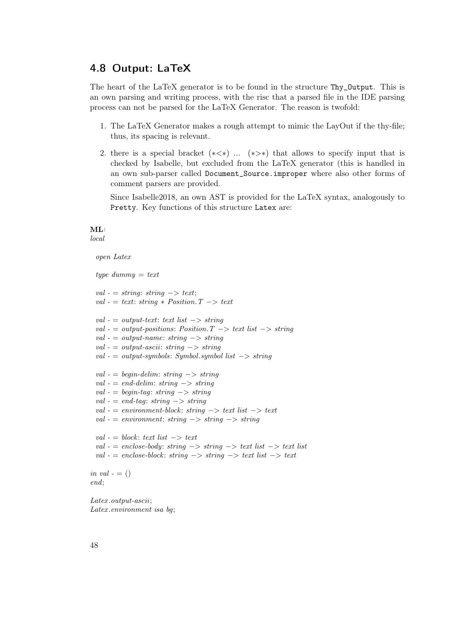# <span id="page-47-0"></span>4.8 Output: LaTeX

The heart of the LaTeX generator is to be found in the structure Thy\_Output. This is an own parsing and writing process, with the risc that a parsed file in the IDE parsing process can not be parsed for the LaTeX Generator. The reason is twofold:

- 1. The LaTeX Generator makes a rough attempt to mimic the LayOut if the thy-file; thus, its spacing is relevant.
- 2. there is a special bracket  $(*\leq*)$  ...  $(*\geq*)$  that allows to specify input that is checked by Isabelle, but excluded from the LaTeX generator (this is handled in an own sub-parser called Document\_Source.improper where also other forms of comment parsers are provided.

Since Isabelle2018, an own AST is provided for the LaTeX syntax, analogously to Pretty. Key functions of this structure Latex are:

#### $ML$ local

```
open Latex
```

```
type dummy = textval - = string: string -> text;
 val - = text: string * Position.T \rightarrow textval - = output-text: text list \rightarrow string
 val - = output-positions: Position. T \rightarrow text list \rightarrow string
 val - = output-name: string -> string
 val - = output - ascii: string -> stringval - = output-symbols: Symbol.symbol list \rightarrow string
 val - = begin-delim: string \rightarrow string
 val - = end-delim: string \rightarrow string
 val - = begin-tag: string \rightarrow string
 val - = end-tag: string \rightarrow string
 val - = environment \cdot block: string \rightarrow text list \rightarrow textval - = environment: string -> string -> stringval - = block: text list -> text
 val - = enclose-body: string \rightarrow string \rightarrow text list \rightarrow text list
 val - = enclose-block: string -> string -> text list -> textin val - = ()end;
```
Latex .output-ascii; Latex .environment isa bg;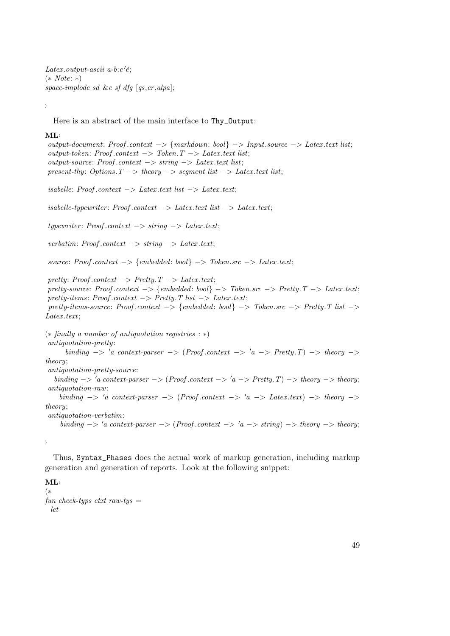Latex.output-ascii a-b: $c'$ é; (∗ Note: ∗) space-implode sd &e sf dfg  $[qs, er, alpha]$ ;

 $\langle$ 

Here is an abstract of the main interface to Thy\_Output:

#### $ML \langle$

output-document: Proof .context −> {markdown: bool} −> Input.source −> Latex .text list; output-token: Proof.context  $→$  Token. T  $→$  Latex.text list; output-source: Proof.context  $\rightarrow$  string  $\rightarrow$  Latex.text list; present-thy: Options.  $T \rightarrow$  theory  $\rightarrow$  segment list  $\rightarrow$  Latex text list;  $isable!$ : Proof.context  $\rightarrow$  Latex.text list  $\rightarrow$  Latex.text;  $is a belief-type writer: Proof. context \rightarrow Later. text list \rightarrow Later. text;$  $typewriter: Proof. context \rightarrow string \rightarrow Later.$ verbatim: Proof.context  $\rightarrow$  string  $\rightarrow$  Latex.text;  $source: Proof. context \rightarrow \{embedded: bool\} \rightarrow \mathit{Token} . src \rightarrow \mathit{Later} . text;$ pretty: Proof.context  $->$  Pretty.  $T \rightarrow$  Latex .text; pretty-source: Proof .context −> {embedded: bool} −> Token.src −> Pretty.T −> Latex .text; pretty-items: Proof.context  $->$  Pretty. T list  $->$  Latex.text; pretty-items-source: Proof.context  $->$  {embedded: bool}  $->$  Token.src  $->$  Pretty.T list  $->$  $Later. text:$ (∗ finally a number of antiquotation registries : ∗) antiquotation-pretty: binding  $\rightarrow 'a$  context-parser  $\rightarrow (Proof. context \rightarrow 'a \rightarrow Pretty.T) \rightarrow theory \rightarrow$ theory; antiquotation-pretty-source: binding  $-> 'a$  context-parser  $-> (Proof. context -> 'a -> Pretty. T) -> theory.$ antiquotation-raw: binding  $\rightarrow 'a$  context-parser  $\rightarrow (Proof.context \rightarrow 'a \rightarrow Latext. text) \rightarrow theory \rightarrow$ theory; antiquotation-verbatim: binding  $\rightarrow 'a$  context-parser  $\rightarrow (Proof. context \rightarrow 'a \rightarrow string) \rightarrow theory \rightarrow theory;$ 

Thus, Syntax\_Phases does the actual work of markup generation, including markup generation and generation of reports. Look at the following snippet:

#### $ML \langle$ (∗ fun check-typs ctxt raw-tys  $=$ let

 $\left\langle \right\rangle$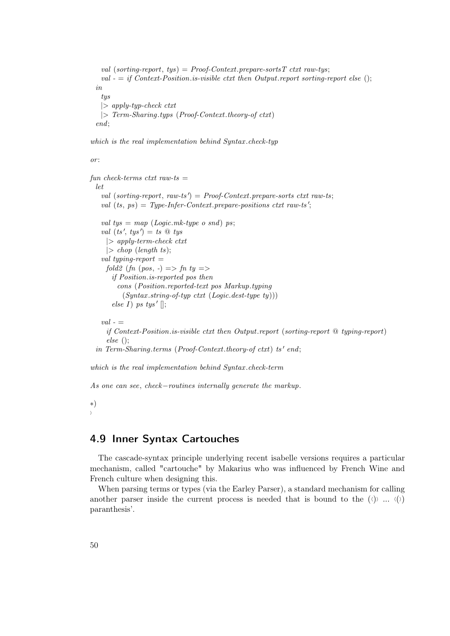```
val (sorting-report, tys) = Proof-Context. prepare-sorts T ctxt raw-tys;
 val - = if Context-Position.is-visible ctxt then Output.report sorting-report else ();
in
 tys
 |> apply-typ-check ctxt
 |> Term-Sharing.typs (Proof-Context.theory-of ctxt)
end;
```
which is the real implementation behind Syntax .check-typ

 $or$ 

```
fun check-terms ctxt raw-ts =let
   val (sorting-report, raw-ts') = Proof-Context.prepare-sorts ctxt raw-ts;
   val (ts, ps) = Type-Infer-Context. prepare-positions ctxt raw-ts';val tys = map (Logic.mk-type o snd) ps;
   val (ts', tys') = ts \mathcal{Q} tys
    |> apply-term-check ctxt
     |> chop (length ts);
   val typing-report =fold2 (fn (pos, -) => fn ty =>
      if Position.is-reported pos then
        cons (Position.reported-text pos Markup.typing
          (Syntax. string-of-type\;ctxt (Logic. dest-type\;ty))else I) ps tys' [];
   val - =if Context-Position.is-visible ctxt then Output.report (sorting-report @ typing-report)
     else ();
  in Term-Sharing.terms (Proof-Context.theory-of ctxt) ts' end;
which is the real implementation behind Syntax .check-term
```
As one can see, check–routines internally generate the markup.

∗)  $\lambda$ 

# <span id="page-49-0"></span>4.9 Inner Syntax Cartouches

The cascade-syntax principle underlying recent isabelle versions requires a particular mechanism, called "cartouche" by Makarius who was influenced by French Wine and French culture when designing this.

When parsing terms or types (via the Earley Parser), a standard mechanism for calling another parser inside the current process is needed that is bound to the  $(\langle \rangle)$  ...  $(\langle \rangle)$ paranthesis'.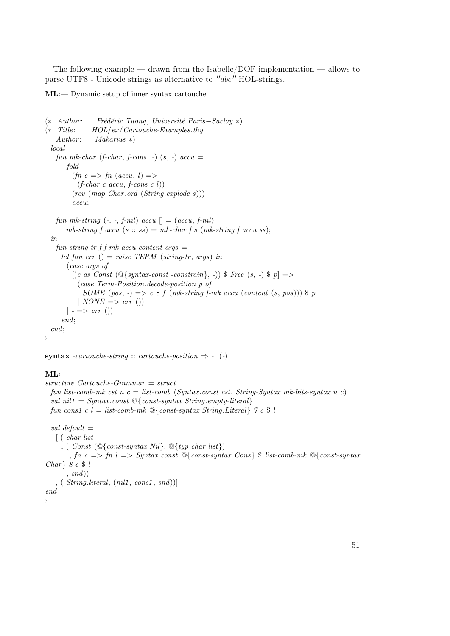The following example — drawn from the Isabelle/DOF implementation — allows to parse UTF8 - Unicode strings as alternative to  $"abc"$  HOL-strings.

 $ML$  $\leftarrow$  Dynamic setup of inner syntax cartouche

```
(∗ Author : Frédéric Tuong, Université Paris−Saclay ∗)
(∗ Title: HOL/ex/Cartouche-Examples.thy
   Author: \qquad Makarius *local
   fun mk-char (f-char, f-cons, -) (s, -) accu =
       fold
         (fn \ c \Rightarrow fn \ (accu, l) \Rightarrow(f\text{-}char\ c\ accu, f\text{-}cons\ c\ l))(rev (map Char .ord (String.explode s)))
         accu;
   fun mk-string \left(-, -, f\text{-nil}\right) accu \left[\right] = (accu, f\text{-nil})| mk-string f accu (s:: ss) = mk\text{-}char\, f\, s\, (mk\text{-}string\, f\, accu\, ss);in
   fun string-tr f f-mk accu content args =let fun err () = raise \, TERM \, (string-tr, \, args) \, in(case args of
         [(c \ as \ Const \ (@{syn tax-const-constraint}\,], -)) \ Free (s, -) \ p \Rightarrow(case Term-Position.decode-position p of
             SOME (pos, -) => c f (mk-string f-mk accu (content (s, pos))) p\mid NONE \implies err \text{ } (*)| - = > err()end;
  end;
i
```
syntax -cartouche-string :: cartouche-position  $\Rightarrow$  - (-)

### $ML$

structure Cartouche-Grammar = struct fun list-comb-mk cst n  $c =$  list-comb (Syntax.const cst, String-Syntax.mk-bits-syntax n c) val nil $1 = Syntaxconst$   $\mathcal{Q}\{\text{const-syntax String. empty-literal}\}$ fun cons1 c l = list-comb-mk  $\mathcal{Q}\{\text{const-syntar String. Literal}\}\$  7 c \\$ l val default  $=$ [ ( char list , (  $Const$  ( $@{const-syntax Nil}$ ,  $@{typ char list}$ ) , fn  $c \implies fh \geq Symtaxconst \ \mathbb{Q}\{\text{const-syntax} \ \text{Consts} \ \mathsf{F} \ \text{list-comb-mk} \ \mathsf{Q}\{\text{const-syntax} \}$ Char  $8 c $ l$  $, \text{ } \text{ } snd$ )

```
, ( String. literal, (nil1, cons1, snd))]end
```
 $\lambda$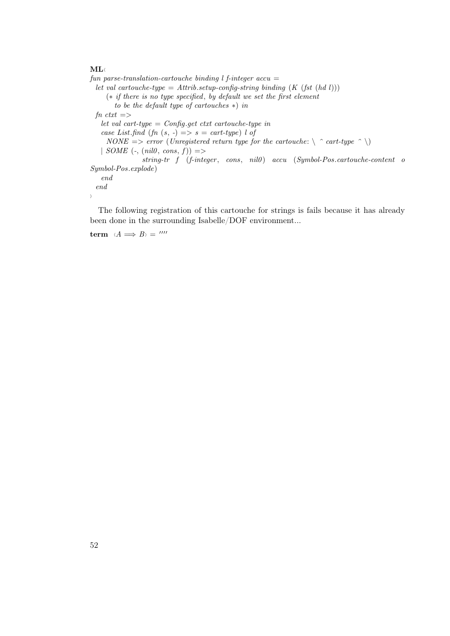### $ML$

fun parse-translation-cartouche binding  $l$  f-integer accu = let val cartouche-type = Attrib.setup-config-string binding  $(K (fst (hd l)))$ (∗ if there is no type specified, by default we set the first element to be the default type of cartouches ∗) in  $fn$  ctxt  $=$ > let val cart-type = Config.get ctxt cartouche-type in case List.find (fn  $(s, -) \implies s = \text{cart-type}$ ) l of  $NONE \implies error \ (Unregistered \ return \ type \ for \ the \ cartouche: \ \ \ \ \ \ \ \ contative \ (Unregistered \ return \ type \ for \ the \ cartouche \$ | SOME  $(\text{-}, \text{(nil0}, \text{cons}, f))$  =>  $string-tr$   $f$   $(f\text{-integer}, \text{cons}, \text{nil}0)$   $accu$   $(Symbol\text{-}Pos\text{-}cartouche\text{-}content$  o Symbol-Pos.explode) end end i

The following registration of this cartouche for strings is fails because it has already been done in the surrounding Isabelle/DOF environment...

term  $\langle A \implies B \rangle = \frac{mn}{n}$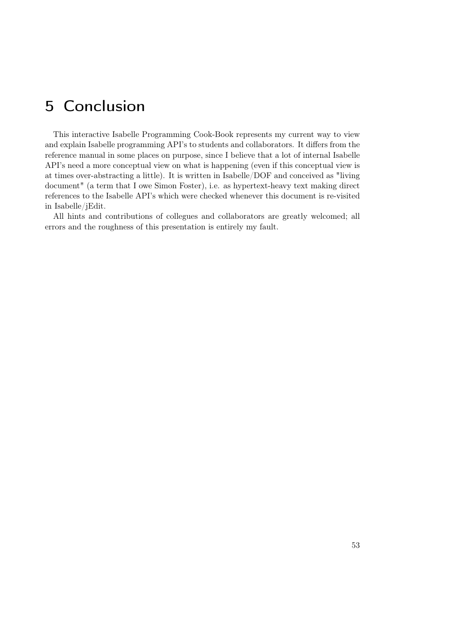# <span id="page-52-0"></span>5 Conclusion

This interactive Isabelle Programming Cook-Book represents my current way to view and explain Isabelle programming API's to students and collaborators. It differs from the reference manual in some places on purpose, since I believe that a lot of internal Isabelle API's need a more conceptual view on what is happening (even if this conceptual view is at times over-abstracting a little). It is written in Isabelle/DOF and conceived as "living document" (a term that I owe Simon Foster), i.e. as hypertext-heavy text making direct references to the Isabelle API's which were checked whenever this document is re-visited in Isabelle/jEdit.

All hints and contributions of collegues and collaborators are greatly welcomed; all errors and the roughness of this presentation is entirely my fault.